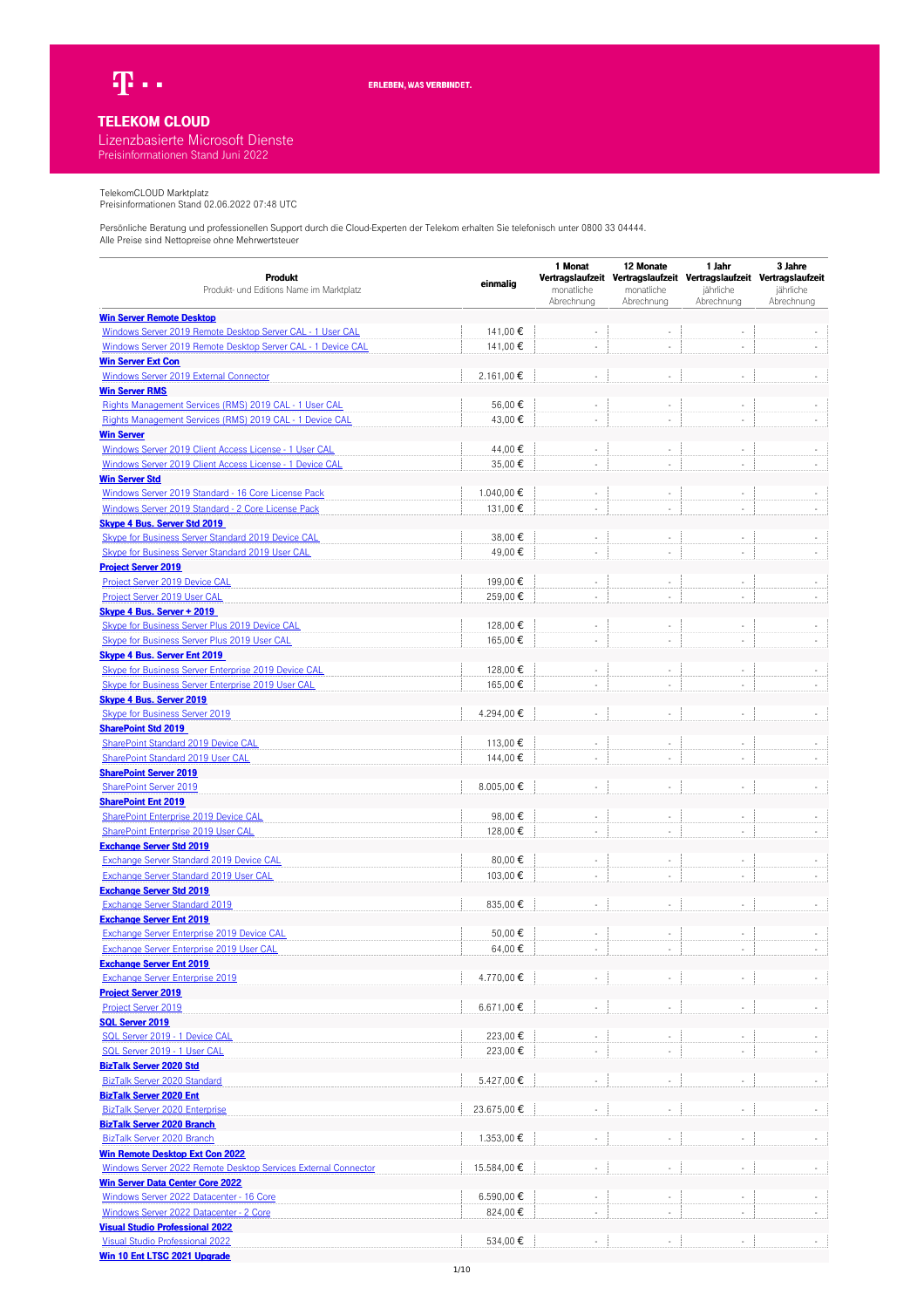

## **TELEKOM CLOUD**

## Lizenzbasierte Microsoft Dienste Preisinformationen Stand Juni 2022

TelekomCLOUD Marktplatz Preisinformationen Stand 02.06.2022 07:48 UTC

| Produkt                                                        |             | 1 Monat    | 12 Monate  | 1 Jahr                                                                           | 3 Jahre    |
|----------------------------------------------------------------|-------------|------------|------------|----------------------------------------------------------------------------------|------------|
| Produkt- und Editions Name im Marktplatz                       | einmalig    | monatliche | monatliche | Vertragslaufzeit Vertragslaufzeit Vertragslaufzeit Vertragslaufzeit<br>jährliche | jährliche  |
|                                                                |             | Abrechnung | Abrechnung | Abrechnung                                                                       | Abrechnung |
| <b>Win Server Remote Desktop</b>                               |             |            |            |                                                                                  |            |
| Windows Server 2019 Remote Desktop Server CAL - 1 User CAL     | 141,00 €    |            |            |                                                                                  |            |
| Windows Server 2019 Remote Desktop Server CAL - 1 Device CAL   | 141,00€     |            |            |                                                                                  |            |
| <b>Win Server Ext Con</b>                                      |             |            |            |                                                                                  |            |
| Windows Server 2019 External Connector                         | 2.161,00€   |            |            |                                                                                  |            |
| <b>Win Server RMS</b>                                          |             |            |            |                                                                                  |            |
| Rights Management Services (RMS) 2019 CAL - 1 User CAL         | 56,00€      |            | ÷,         | ÷,                                                                               |            |
| Rights Management Services (RMS) 2019 CAL - 1 Device CAL       | 43,00 €     | ÷.         | ÷,         |                                                                                  |            |
| <b>Win Server</b>                                              |             |            |            |                                                                                  |            |
| Windows Server 2019 Client Access License - 1 User CAL         | 44,00 €     |            |            |                                                                                  |            |
| Windows Server 2019 Client Access License - 1 Device CAL       | 35.00€      |            | ÷,         |                                                                                  |            |
| <b>Win Server Std</b>                                          |             |            |            |                                                                                  |            |
| Windows Server 2019 Standard - 16 Core License Pack            | 1.040,00 €  |            |            |                                                                                  |            |
| Windows Server 2019 Standard - 2 Core License Pack             | 131,00 €    |            |            |                                                                                  |            |
| <b>Skype 4 Bus. Server Std 2019</b>                            |             |            |            |                                                                                  |            |
| Skype for Business Server Standard 2019 Device CAL             | 38,00€      |            |            |                                                                                  |            |
| Skype for Business Server Standard 2019 User CAL               | 49,00€      |            |            |                                                                                  |            |
| <b>Project Server 2019</b>                                     |             |            |            |                                                                                  |            |
| Project Server 2019 Device CAL                                 | 199,00€     | $\sim$     | ÷,         | $\sim$                                                                           |            |
| Project Server 2019 User CAL                                   | 259,00€     | $\sim$     | ÷,         | $\sim$                                                                           |            |
|                                                                |             |            |            |                                                                                  |            |
| Skype 4 Bus. Server + 2019                                     |             |            |            |                                                                                  |            |
| <b>Skype for Business Server Plus 2019 Device CAL</b>          | 128,00 €    |            |            |                                                                                  |            |
| Skype for Business Server Plus 2019 User CAL                   | 165,00€     |            |            |                                                                                  |            |
| <b>Skype 4 Bus. Server Ent 2019</b>                            |             |            |            |                                                                                  |            |
| Skype for Business Server Enterprise 2019 Device CAL           | 128,00 €    |            |            |                                                                                  |            |
| Skype for Business Server Enterprise 2019 User CAL             | 165,00 €    |            |            |                                                                                  |            |
| <b>Skype 4 Bus. Server 2019</b>                                |             |            |            |                                                                                  |            |
| <b>Skype for Business Server 2019</b>                          | 4.294,00€   |            |            |                                                                                  |            |
| <b>SharePoint Std 2019</b>                                     |             |            |            |                                                                                  |            |
| SharePoint Standard 2019 Device CAL                            | 113,00€     |            |            |                                                                                  |            |
| SharePoint Standard 2019 User CAL                              | 144,00 €    |            |            |                                                                                  |            |
| <b>SharePoint Server 2019</b>                                  |             |            |            |                                                                                  |            |
| <b>SharePoint Server 2019</b>                                  | 8.005,00€   |            | ÷,         |                                                                                  |            |
| <b>SharePoint Ent 2019</b>                                     |             |            |            |                                                                                  |            |
| SharePoint Enterprise 2019 Device CAL                          | 98,00€      |            | ÷,         |                                                                                  |            |
| SharePoint Enterprise 2019 User CAL                            | 128,00€     |            |            |                                                                                  |            |
| <b>Exchange Server Std 2019</b>                                |             |            |            |                                                                                  |            |
| <b>Exchange Server Standard 2019 Device CAL</b>                | 80,00€      |            |            |                                                                                  |            |
| Exchange Server Standard 2019 User CAL                         | 103.00€     | $\sim$     | ÷.         | $\sim$                                                                           |            |
| <b>Exchange Server Std 2019</b>                                |             |            |            |                                                                                  |            |
| Exchange Server Standard 2019                                  | 835,00€     |            |            |                                                                                  |            |
| <b>Exchange Server Ent 2019</b>                                |             |            |            |                                                                                  |            |
| Exchange Server Enterprise 2019 Device CAL                     | 50,00€      |            |            |                                                                                  |            |
| <b>Exchange Server Enterprise 2019 User CAL</b>                | 64,00€      |            |            |                                                                                  |            |
| <b>Exchange Server Ent 2019</b>                                |             |            |            |                                                                                  |            |
| <b>Exchange Server Enterprise 2019</b>                         | 4.770,00€   |            |            |                                                                                  |            |
| <b>Project Server 2019</b>                                     |             |            |            |                                                                                  |            |
| <b>Project Server 2019</b>                                     | 6.671,00€   |            |            |                                                                                  |            |
| <b>SQL Server 2019</b>                                         |             |            |            |                                                                                  |            |
| SQL Server 2019 - 1 Device CAL                                 | 223,00€     |            |            |                                                                                  |            |
| SQL Server 2019 - 1 User CAL                                   | 223,00 €    |            |            |                                                                                  |            |
| <b>BizTalk Server 2020 Std</b>                                 |             |            |            |                                                                                  |            |
| BizTalk Server 2020 Standard                                   | 5.427,00€   |            |            |                                                                                  |            |
| <b>BizTalk Server 2020 Ent</b>                                 |             |            |            |                                                                                  |            |
| <b>BizTalk Server 2020 Enterprise</b>                          | 23.675,00 € |            |            |                                                                                  |            |
| <b>BizTalk Server 2020 Branch</b>                              |             |            |            |                                                                                  |            |
| BizTalk Server 2020 Branch                                     | 1.353,00 €  |            |            |                                                                                  |            |
| <b>Win Remote Desktop Ext Con 2022</b>                         |             |            |            |                                                                                  |            |
| Windows Server 2022 Remote Desktop Services External Connector | 15.584,00 € |            |            |                                                                                  |            |
| <b>Win Server Data Center Core 2022</b>                        |             |            |            |                                                                                  |            |
| Windows Server 2022 Datacenter - 16 Core                       |             |            |            |                                                                                  |            |
|                                                                | 6.590,00 €  |            | ×,         | ÷,                                                                               |            |
| Windows Server 2022 Datacenter - 2 Core                        | 824,00€     |            |            |                                                                                  |            |
| <b>Visual Studio Professional 2022</b>                         |             |            |            |                                                                                  |            |
| <b>Visual Studio Professional 2022</b>                         | 534,00 €    |            |            |                                                                                  |            |
| Win 10 Ent LTSC 2021 Upgrade                                   |             |            |            |                                                                                  |            |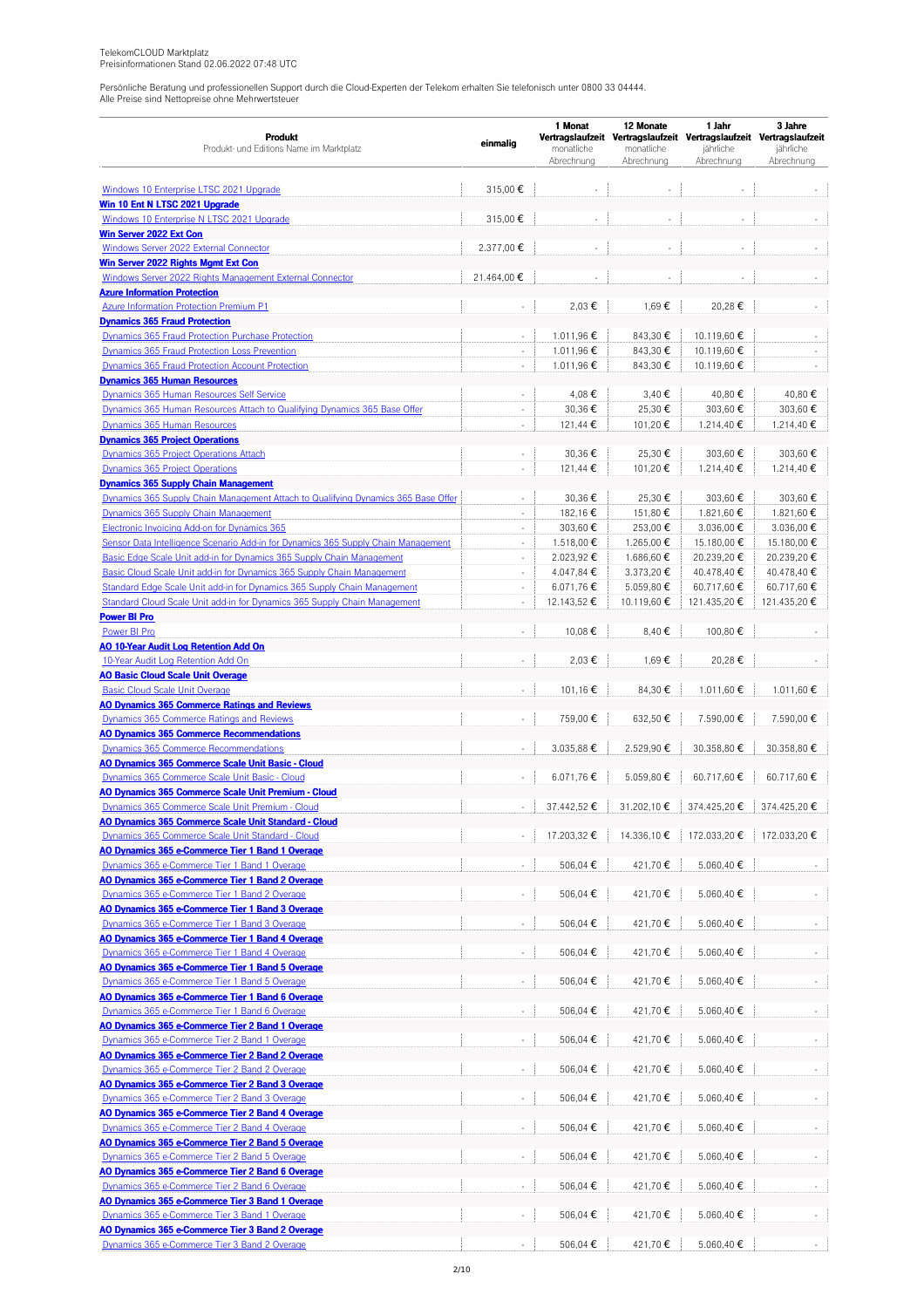|                                                                                                 |                          | 1 Monat                  | 12 Monate                | 1 Jahr                                                              | 3 Jahre                 |  |
|-------------------------------------------------------------------------------------------------|--------------------------|--------------------------|--------------------------|---------------------------------------------------------------------|-------------------------|--|
| <b>Produkt</b>                                                                                  | einmalig                 |                          |                          | Vertragslaufzeit Vertragslaufzeit Vertragslaufzeit Vertragslaufzeit |                         |  |
| Produkt- und Editions Name im Marktplatz                                                        |                          | monatliche<br>Abrechnung | monatliche<br>Abrechnung | jährliche<br>Abrechnung                                             | jährliche<br>Abrechnung |  |
|                                                                                                 |                          |                          |                          |                                                                     |                         |  |
| Windows 10 Enterprise LTSC 2021 Upgrade                                                         | 315,00€                  |                          | L.                       |                                                                     |                         |  |
| Win 10 Ent N LTSC 2021 Upgrade                                                                  |                          |                          |                          |                                                                     |                         |  |
| Windows 10 Enterprise N LTSC 2021 Upgrade                                                       | 315,00€                  | $\sim$                   | ÷                        |                                                                     |                         |  |
| Win Server 2022 Ext Con                                                                         |                          |                          |                          |                                                                     |                         |  |
| Windows Server 2022 External Connector                                                          | 2.377,00€                | $\sim$                   | ÷,                       | $\sim$                                                              |                         |  |
| Win Server 2022 Rights Mgmt Ext Con                                                             |                          |                          |                          |                                                                     |                         |  |
| Windows Server 2022 Rights Management External Connector                                        | 21.464,00€               |                          |                          |                                                                     |                         |  |
| <b>Azure Information Protection</b>                                                             |                          |                          |                          |                                                                     |                         |  |
| <b>Azure Information Protection Premium P1</b>                                                  | $\overline{\phantom{a}}$ | 2,03€                    | 1,69€                    | 20,28€                                                              |                         |  |
| <b>Dynamics 365 Fraud Protection</b>                                                            |                          |                          |                          |                                                                     |                         |  |
| Dynamics 365 Fraud Protection Purchase Protection                                               | $\overline{\phantom{a}}$ | 1.011,96€                | 843,30 €                 | 10.119,60€                                                          |                         |  |
| Dynamics 365 Fraud Protection Loss Prevention                                                   | ä,                       | 1.011,96€                | 843,30 €                 | 10.119,60 €                                                         |                         |  |
| Dynamics 365 Fraud Protection Account Protection                                                | ÷,                       | 1.011,96€                | 843,30 €                 | 10.119,60€                                                          |                         |  |
| <b>Dynamics 365 Human Resources</b>                                                             |                          |                          |                          |                                                                     |                         |  |
| Dynamics 365 Human Resources Self Service                                                       | ä,                       | 4,08€                    | 3,40€                    | 40,80€                                                              | 40,80€                  |  |
| Dynamics 365 Human Resources Attach to Qualifying Dynamics 365 Base Offer                       | $\blacksquare$           | 30,36€                   | 25,30€                   | 303,60 €                                                            | 303,60 €                |  |
| Dynamics 365 Human Resources                                                                    | ÷,                       | 121,44 €                 | 101,20€                  | 1.214,40 €                                                          | 1.214,40 €              |  |
| <b>Dynamics 365 Project Operations</b>                                                          |                          |                          |                          |                                                                     |                         |  |
| Dynamics 365 Project Operations Attach                                                          | $\overline{\phantom{a}}$ | 30,36€                   | 25,30€                   | 303.60€                                                             | 303,60 €                |  |
| Dynamics 365 Project Operations                                                                 | ä,                       | 121,44 €                 | 101,20€                  | 1.214,40 €                                                          | 1.214,40 €              |  |
| <b>Dynamics 365 Supply Chain Management</b>                                                     |                          |                          |                          |                                                                     |                         |  |
| Dynamics 365 Supply Chain Management Attach to Qualifying Dynamics 365 Base Offer               | $\overline{\phantom{a}}$ | 30,36€                   | 25,30€                   | 303,60 €                                                            | 303.60€                 |  |
| Dynamics 365 Supply Chain Management                                                            | $\overline{\phantom{a}}$ | 182,16€                  | 151,80€                  | 1.821,60 €                                                          | 1.821,60€               |  |
| Electronic Invoicing Add-on for Dynamics 365                                                    | ÷,                       | 303,60 €                 | 253,00€                  | 3.036,00€                                                           | 3.036,00€               |  |
| Sensor Data Intelligence Scenario Add-in for Dynamics 365 Supply Chain Management               | $\overline{\phantom{a}}$ | 1.518,00 €               | 1.265,00 €               | 15.180,00 €                                                         | 15.180,00 €             |  |
| Basic Edge Scale Unit add-in for Dynamics 365 Supply Chain Management                           | ÷,                       | 2.023,92€                | 1.686,60 €               | 20.239,20€                                                          | 20.239,20€              |  |
| Basic Cloud Scale Unit add-in for Dynamics 365 Supply Chain Management                          | $\overline{\phantom{a}}$ | 4.047,84 €               | 3.373,20€                | 40.478,40 €                                                         | 40.478,40 €             |  |
| Standard Edge Scale Unit add-in for Dynamics 365 Supply Chain Management                        | $\omega$                 | 6.071,76€                | 5.059,80€                | 60.717,60€                                                          | 60.717,60€              |  |
| Standard Cloud Scale Unit add-in for Dynamics 365 Supply Chain Management                       | $\overline{\phantom{a}}$ | 12.143,52 €              | 10.119,60 €              | 121.435,20€                                                         | 121.435,20€             |  |
| <b>Power BI Pro</b>                                                                             |                          |                          |                          |                                                                     |                         |  |
| Power BI Pro                                                                                    | $\bar{a}$                | 10,08€                   | 8,40€                    | 100,80 €                                                            |                         |  |
| AO 10-Year Audit Log Retention Add On                                                           |                          |                          |                          |                                                                     |                         |  |
| 10-Year Audit Log Retention Add On                                                              | $\overline{\phantom{a}}$ | 2,03€                    | 1,69€                    | 20,28€                                                              |                         |  |
| <b>AO Basic Cloud Scale Unit Overage</b>                                                        |                          |                          |                          |                                                                     |                         |  |
| <b>Basic Cloud Scale Unit Overage</b>                                                           | $\omega$                 | 101,16€                  | 84,30€                   | 1.011,60 €                                                          | 1.011,60 €              |  |
| <b>AO Dynamics 365 Commerce Ratings and Reviews</b>                                             |                          | 759.00€                  |                          |                                                                     | 7.590.00€               |  |
| Dynamics 365 Commerce Ratings and Reviews                                                       | $\omega$                 |                          | 632,50€                  | 7.590,00€                                                           |                         |  |
| <b>AO Dynamics 365 Commerce Recommendations</b><br><b>Dynamics 365 Commerce Recommendations</b> |                          | 3.035,88 €               | 2.529,90€                | 30.358,80€                                                          | 30.358,80 €             |  |
| AO Dynamics 365 Commerce Scale Unit Basic - Cloud                                               |                          |                          |                          |                                                                     |                         |  |
| Dynamics 365 Commerce Scale Unit Basic - Cloud                                                  |                          | 6.071.76€                | 5.059,80€                | 60.717.60€                                                          | 60.717,60€              |  |
| AO Dynamics 365 Commerce Scale Unit Premium - Cloud                                             |                          |                          |                          |                                                                     |                         |  |
| Dynamics 365 Commerce Scale Unit Premium - Cloud                                                |                          | 37.442.52€               | 31.202,10 €              | 374.425,20€                                                         | 374.425,20€             |  |
| <b>AO Dynamics 365 Commerce Scale Unit Standard - Cloud</b>                                     |                          |                          |                          |                                                                     |                         |  |
| Dynamics 365 Commerce Scale Unit Standard - Cloud                                               |                          | 17.203,32 €              | 14.336,10€               | 172.033,20€                                                         | 172.033,20€             |  |
| AO Dynamics 365 e-Commerce Tier 1 Band 1 Overage                                                |                          |                          |                          |                                                                     |                         |  |
| Dynamics 365 e-Commerce Tier 1 Band 1 Overage                                                   | ÷                        | 506,04 €                 | 421,70€                  | 5.060,40€                                                           |                         |  |
| AO Dynamics 365 e-Commerce Tier 1 Band 2 Overage                                                |                          |                          |                          |                                                                     |                         |  |
| Dynamics 365 e-Commerce Tier 1 Band 2 Overage                                                   | $\sim$                   | 506,04 €                 | 421,70€                  | 5.060,40€                                                           |                         |  |
| AO Dynamics 365 e-Commerce Tier 1 Band 3 Overage                                                |                          |                          |                          |                                                                     |                         |  |
| Dynamics 365 e-Commerce Tier 1 Band 3 Overage                                                   | $\omega$                 | 506,04 €                 | 421,70€                  | 5.060,40€                                                           |                         |  |
| AO Dynamics 365 e-Commerce Tier 1 Band 4 Overage                                                |                          |                          |                          |                                                                     |                         |  |
| Dynamics 365 e-Commerce Tier 1 Band 4 Overage                                                   | ÷                        | 506,04 €                 | 421,70€                  | 5.060,40€                                                           |                         |  |
| AO Dynamics 365 e-Commerce Tier 1 Band 5 Overage                                                |                          |                          |                          |                                                                     |                         |  |
| Dynamics 365 e-Commerce Tier 1 Band 5 Overage                                                   | ä,                       | 506,04€                  | 421,70€                  | 5.060,40€                                                           |                         |  |
| <u>AO Dynamics 365 e-Commerce Tier 1 Band 6 Overage</u>                                         |                          |                          |                          |                                                                     |                         |  |
| Dynamics 365 e-Commerce Tier 1 Band 6 Overage                                                   | $\sim$                   | 506,04 €                 | 421,70€                  | 5.060,40€                                                           |                         |  |
| AO Dynamics 365 e-Commerce Tier 2 Band 1 Overage                                                |                          |                          |                          |                                                                     |                         |  |
| Dynamics 365 e-Commerce Tier 2 Band 1 Overage                                                   | $\Box$                   | 506,04 €                 | 421,70€                  | 5.060,40 €                                                          |                         |  |
| <b>AO Dynamics 365 e-Commerce Tier 2 Band 2 Overage</b>                                         |                          |                          |                          |                                                                     |                         |  |
| Dynamics 365 e-Commerce Tier 2 Band 2 Overage                                                   | $\omega$                 | 506,04 €                 | 421,70€                  | 5.060,40€                                                           |                         |  |
| AO Dynamics 365 e-Commerce Tier 2 Band 3 Overage                                                |                          |                          |                          |                                                                     |                         |  |
| Dynamics 365 e-Commerce Tier 2 Band 3 Overage                                                   | ÷,                       | 506,04 €                 | 421,70€                  | 5.060,40 €                                                          |                         |  |
| AO Dynamics 365 e-Commerce Tier 2 Band 4 Overage                                                |                          |                          |                          |                                                                     |                         |  |
| Dynamics 365 e-Commerce Tier 2 Band 4 Overage                                                   | $\Box$                   | 506,04 €                 | 421,70€                  | 5.060,40 €                                                          |                         |  |
| AO Dynamics 365 e-Commerce Tier 2 Band 5 Overage                                                |                          |                          |                          |                                                                     |                         |  |
| Dynamics 365 e-Commerce Tier 2 Band 5 Overage                                                   | $\overline{\phantom{a}}$ | 506,04 €                 | 421,70€                  | 5.060,40€                                                           |                         |  |
| AO Dynamics 365 e-Commerce Tier 2 Band 6 Overage                                                |                          |                          |                          |                                                                     |                         |  |
| Dynamics 365 e-Commerce Tier 2 Band 6 Overage                                                   | $\Box$                   | 506,04 €                 | 421,70€                  | 5.060,40€                                                           |                         |  |
| AO Dynamics 365 e-Commerce Tier 3 Band 1 Overage                                                |                          |                          |                          |                                                                     |                         |  |
| Dynamics 365 e-Commerce Tier 3 Band 1 Overage                                                   | ÷                        | 506,04 €                 | 421,70€                  | 5.060,40€                                                           |                         |  |
| AO Dynamics 365 e-Commerce Tier 3 Band 2 Overage                                                |                          | 506,04 €                 | 421,70€                  | 5.060,40€                                                           |                         |  |
| Dynamics 365 e-Commerce Tier 3 Band 2 Overage                                                   |                          |                          |                          |                                                                     |                         |  |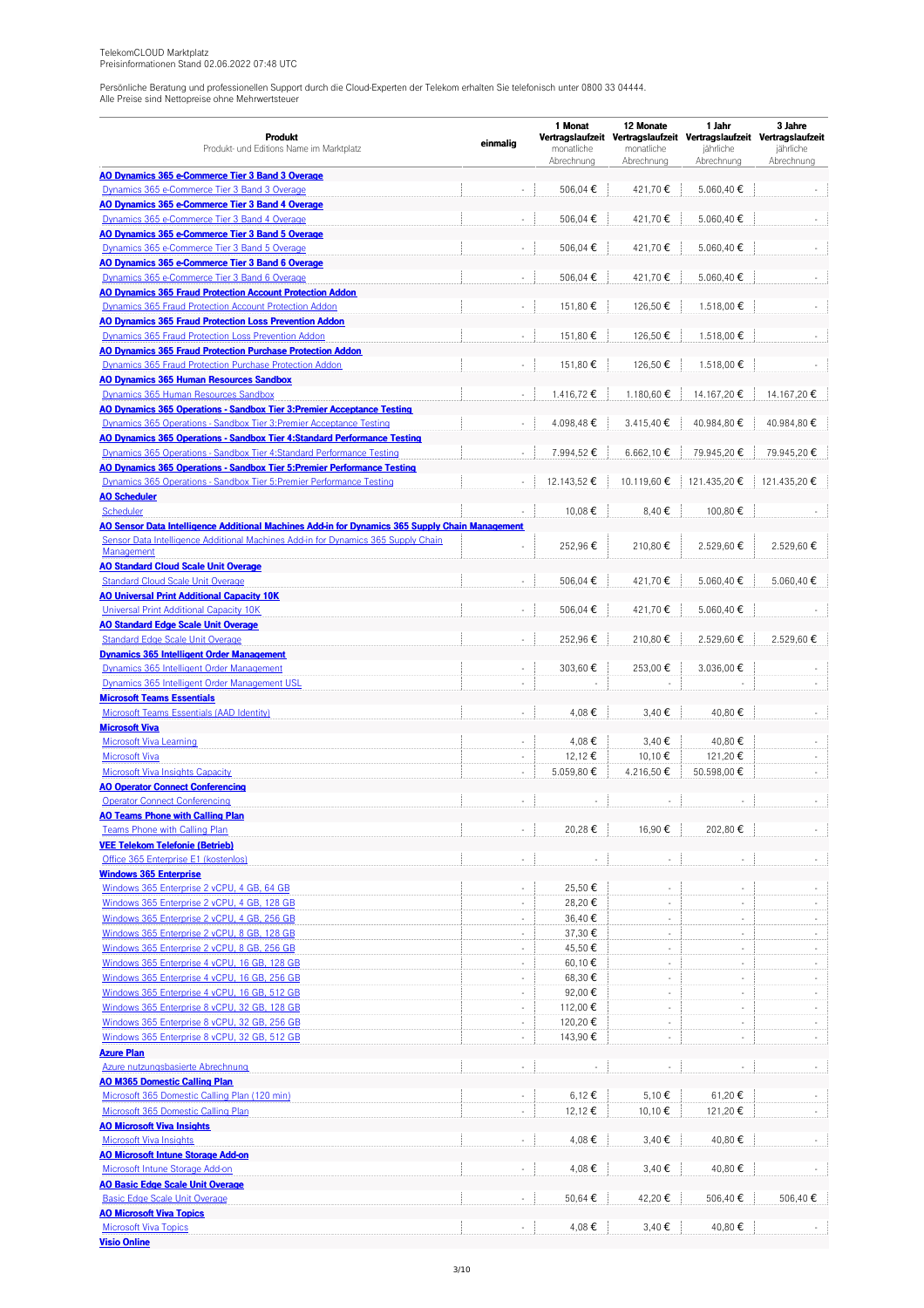| <b>Produkt</b><br>Produkt- und Editions Name im Marktplatz                                                                                               | einmalig                    | 1 Monat<br>monatliche | 12 Monate<br>monatliche        | 1 Jahr<br>Vertragslaufzeit Vertragslaufzeit Vertragslaufzeit Vertragslaufzeit<br>jährliche | 3 Jahre<br>jährliche |
|----------------------------------------------------------------------------------------------------------------------------------------------------------|-----------------------------|-----------------------|--------------------------------|--------------------------------------------------------------------------------------------|----------------------|
|                                                                                                                                                          |                             | Abrechnung            | Abrechnung                     | Abrechnung                                                                                 | Abrechnung           |
| <b>AO Dynamics 365 e-Commerce Tier 3 Band 3 Overage</b>                                                                                                  |                             | 506,04€               | 421,70€                        | 5.060,40 €                                                                                 |                      |
| Dynamics 365 e-Commerce Tier 3 Band 3 Overage<br>AO Dynamics 365 e-Commerce Tier 3 Band 4 Overage                                                        |                             |                       |                                |                                                                                            |                      |
| Dynamics 365 e-Commerce Tier 3 Band 4 Overage                                                                                                            | ×.                          | 506,04 €              | 421,70€                        | 5.060,40 €                                                                                 |                      |
| AO Dynamics 365 e-Commerce Tier 3 Band 5 Overage                                                                                                         |                             |                       |                                |                                                                                            |                      |
| Dynamics 365 e-Commerce Tier 3 Band 5 Overage                                                                                                            | ä,                          | 506,04 €              | 421,70€                        | 5.060,40 €                                                                                 |                      |
| <b>AO Dynamics 365 e-Commerce Tier 3 Band 6 Overage</b><br>Dynamics 365 e-Commerce Tier 3 Band 6 Overage                                                 | ×.                          |                       |                                | 5.060.40€                                                                                  |                      |
| <b>AO Dynamics 365 Fraud Protection Account Protection Addon</b>                                                                                         |                             | 506,04 €              | 421,70€                        |                                                                                            |                      |
| Dynamics 365 Fraud Protection Account Protection Addon                                                                                                   | ×,                          | 151.80€               | 126,50€                        | 1.518,00 €                                                                                 |                      |
| <b>AO Dynamics 365 Fraud Protection Loss Prevention Addon</b>                                                                                            |                             |                       |                                |                                                                                            |                      |
| Dynamics 365 Fraud Protection Loss Prevention Addon                                                                                                      | ä,                          | 151,80€               | 126,50 €                       | 1.518.00€                                                                                  |                      |
| <b>AO Dynamics 365 Fraud Protection Purchase Protection Addon</b><br>Dynamics 365 Fraud Protection Purchase Protection Addon                             |                             | 151,80 €              | 126,50€                        | 1.518,00€                                                                                  |                      |
| <b>AO Dynamics 365 Human Resources Sandbox</b>                                                                                                           | $\overline{\phantom{a}}$    |                       |                                |                                                                                            |                      |
| Dynamics 365 Human Resources Sandbox                                                                                                                     |                             | 1.416,72 €            | 1.180,60 €                     | 14.167,20€                                                                                 | 14.167,20€           |
| <b>AO Dynamics 365 Operations - Sandbox Tier 3: Premier Acceptance Testing</b>                                                                           |                             |                       |                                |                                                                                            |                      |
| <b>Dynamics 365 Operations - Sandbox Tier 3: Premier Acceptance Testing</b>                                                                              | ÷,                          | 4.098.48€             | $3.415,40 \in$                 | 40.984,80€                                                                                 | 40.984,80€           |
| AO Dynamics 365 Operations - Sandbox Tier 4:Standard Performance Testing                                                                                 |                             |                       |                                |                                                                                            |                      |
| Dynamics 365 Operations - Sandbox Tier 4:Standard Performance Testing<br><u> AO Dynamics 365 Operations - Sandbox Tier 5:Premier Performance Testing</u> |                             | 7.994,52 €            | 6.662,10€                      | 79.945,20€                                                                                 | 79.945,20€           |
| <b>Dynamics 365 Operations - Sandbox Tier 5: Premier Performance Testing</b>                                                                             | $\overline{\phantom{a}}$    | 12.143,52 €           | 10.119,60€                     | 121.435,20€                                                                                | 121.435,20€          |
| <b>AO Scheduler</b>                                                                                                                                      |                             |                       |                                |                                                                                            |                      |
| Scheduler                                                                                                                                                |                             | 10,08€                | 8,40€                          | 100,80 €                                                                                   |                      |
| <u>AO Sensor Data Intelligence Additional Machines Add-in for Dynamics 365 Supply Chain Management</u>                                                   |                             |                       |                                |                                                                                            |                      |
| Sensor Data Intelligence Additional Machines Add-in for Dynamics 365 Supply Chain<br>Management                                                          |                             | 252,96€               | 210,80€                        | 2.529,60€                                                                                  | 2.529,60€            |
| <b>AO Standard Cloud Scale Unit Overage</b>                                                                                                              |                             |                       |                                |                                                                                            |                      |
| <b>Standard Cloud Scale Unit Overage</b>                                                                                                                 | L.                          | 506,04 €              | 421,70€                        | 5.060,40 €                                                                                 | 5.060,40 €           |
| <b>AO Universal Print Additional Capacity 10K</b>                                                                                                        |                             |                       |                                |                                                                                            |                      |
| Universal Print Additional Capacity 10K                                                                                                                  |                             | 506,04 €              | 421,70€                        | 5.060,40€                                                                                  |                      |
| <b>AO Standard Edge Scale Unit Overage</b>                                                                                                               |                             |                       |                                |                                                                                            |                      |
| <b>Standard Edge Scale Unit Overage</b><br><b>Dynamics 365 Intelligent Order Management</b>                                                              | ÷,                          | 252,96€               | 210,80€                        | 2.529,60€                                                                                  | 2.529,60€            |
| Dynamics 365 Intelligent Order Management                                                                                                                | $\overline{\phantom{a}}$    | 303,60 €              | 253,00€                        | 3.036,00 €                                                                                 |                      |
| Dynamics 365 Intelligent Order Management USL                                                                                                            | $\overline{\phantom{a}}$    |                       |                                |                                                                                            |                      |
| <b>Microsoft Teams Essentials</b>                                                                                                                        |                             |                       |                                |                                                                                            |                      |
| Microsoft Teams Essentials (AAD Identity)                                                                                                                |                             | 4,08€                 | 3,40€                          | 40,80€                                                                                     |                      |
| <b>Microsoft Viva</b>                                                                                                                                    |                             |                       |                                |                                                                                            |                      |
| Microsoft Viva Learning<br><b>Microsoft Viva</b>                                                                                                         | $\sim$<br>÷,                | 4,08€<br>12,12€       | 3,40€<br>10.10€                | 40,80€<br>121,20€                                                                          |                      |
| <b>Microsoft Viva Insights Capacity</b>                                                                                                                  | $\mathcal{L}_{\mathcal{A}}$ | 5.059,80€             | 4.216,50€                      | 50.598,00 €                                                                                |                      |
| <b>AO Operator Connect Conferencing</b>                                                                                                                  |                             |                       |                                |                                                                                            |                      |
| <b>Operator Connect Conferencing</b>                                                                                                                     |                             |                       |                                |                                                                                            |                      |
| <b>AO Teams Phone with Calling Plan</b>                                                                                                                  |                             |                       |                                |                                                                                            |                      |
| <b>Teams Phone with Calling Plan</b>                                                                                                                     | $\Box$                      | 20,28€                | 16,90€                         | 202,80€                                                                                    |                      |
| <b>VEE Telekom Telefonie (Betrieb)</b><br>Office 365 Enterprise E1 (kostenlos)                                                                           |                             |                       | ÷                              |                                                                                            |                      |
| <b>Windows 365 Enterprise</b>                                                                                                                            |                             |                       |                                |                                                                                            |                      |
| Windows 365 Enterprise 2 vCPU, 4 GB, 64 GB                                                                                                               | ×.                          | 25,50€                | ÷                              | $\sim$                                                                                     |                      |
| Windows 365 Enterprise 2 vCPU, 4 GB, 128 GB                                                                                                              | ×,                          | 28,20€                | $\bar{\phantom{a}}$            | ä,                                                                                         |                      |
| Windows 365 Enterprise 2 vCPU, 4 GB, 256 GB                                                                                                              | ÷,                          | 36,40€                | $\overline{\phantom{a}}$       |                                                                                            |                      |
| Windows 365 Enterprise 2 vCPU, 8 GB, 128 GB                                                                                                              | ×,                          | 37,30€                | $\overline{\phantom{a}}$       | $\sim$                                                                                     |                      |
| Windows 365 Enterprise 2 vCPU, 8 GB, 256 GB                                                                                                              | $\overline{\phantom{a}}$    | 45,50€                | $\sim$                         | $\overline{\phantom{a}}$                                                                   |                      |
| Windows 365 Enterprise 4 vCPU, 16 GB, 128 GB<br>Windows 365 Enterprise 4 vCPU, 16 GB, 256 GB                                                             | $\sim$<br>×,                | 60,10€<br>68,30 €     | $\overline{\phantom{a}}$<br>÷. | $\sim$<br>$\sim$                                                                           | $\sim$               |
| Windows 365 Enterprise 4 vCPU, 16 GB, 512 GB                                                                                                             |                             | 92,00€                | ÷                              |                                                                                            |                      |
| Windows 365 Enterprise 8 vCPU, 32 GB, 128 GB                                                                                                             | $\overline{\phantom{a}}$    | 112,00 €              | ٠                              | $\overline{\phantom{a}}$                                                                   |                      |
| Windows 365 Enterprise 8 vCPU, 32 GB, 256 GB                                                                                                             | $\overline{\phantom{a}}$    | 120,20€               | $\sim$                         | $\overline{\phantom{a}}$                                                                   | ÷.                   |
| Windows 365 Enterprise 8 vCPU, 32 GB, 512 GB                                                                                                             | $\sim$                      | 143,90 €              | ÷,                             |                                                                                            |                      |
| <b>Azure Plan</b>                                                                                                                                        |                             |                       |                                |                                                                                            |                      |
| Azure nutzungsbasierte Abrechnung                                                                                                                        | $\overline{\phantom{a}}$    |                       | ÷,                             |                                                                                            |                      |
| <b>AO M365 Domestic Calling Plan</b><br>Microsoft 365 Domestic Calling Plan (120 min)                                                                    | $\overline{\phantom{a}}$    | 6,12 €                | 5,10 €                         | 61,20€                                                                                     |                      |
| Microsoft 365 Domestic Calling Plan                                                                                                                      | $\overline{\phantom{a}}$    | 12,12€                | 10,10€                         | 121,20€                                                                                    |                      |
| <b>AO Microsoft Viva Insights</b>                                                                                                                        |                             |                       |                                |                                                                                            |                      |
| <b>Microsoft Viva Insights</b>                                                                                                                           | ÷,                          | 4,08€                 | 3,40€                          | 40,80€                                                                                     |                      |
| <b>AO Microsoft Intune Storage Add-on</b>                                                                                                                |                             |                       |                                |                                                                                            |                      |
| Microsoft Intune Storage Add-on<br><b>AO Basic Edge Scale Unit Overage</b>                                                                               | ×.                          | 4,08€                 | 3,40€                          | 40,80€                                                                                     |                      |
| <b>Basic Edge Scale Unit Overage</b>                                                                                                                     | $\Box$                      | 50,64 €               | 42,20€                         | 506,40€                                                                                    | 506,40€              |
| <b>AO Microsoft Viva Topics</b>                                                                                                                          |                             |                       |                                |                                                                                            |                      |
| <b>Microsoft Viva Topics</b>                                                                                                                             | $\sim$                      | 4,08€                 | 3,40€                          | 40,80€                                                                                     |                      |

**Visio [Online](https://apps.telekomcloud.com/purchase/6704)**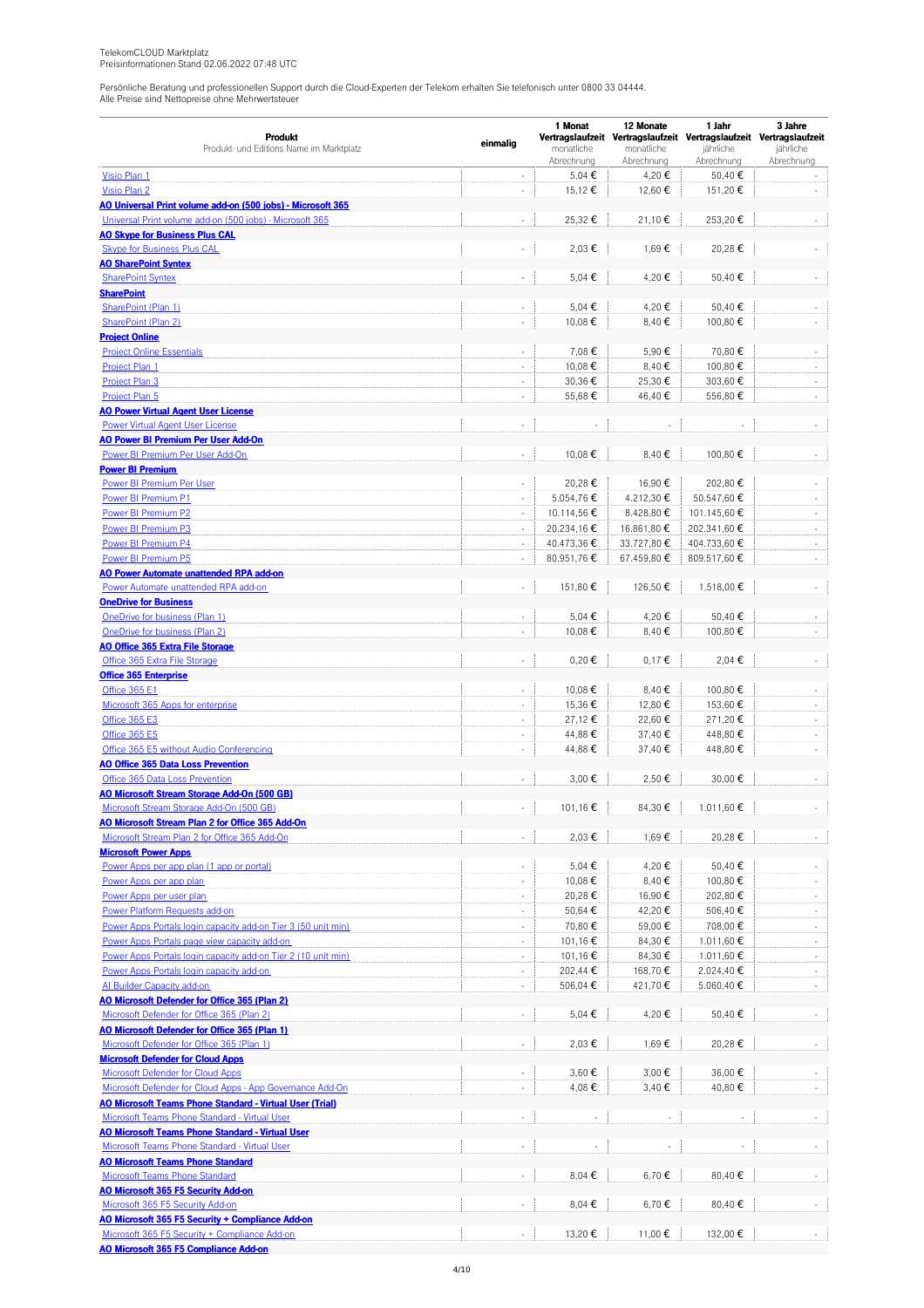|                                                                              |                             | 1 Monat                  | 12 Monate                | 1 Jahr                                                              | 3 Jahre                     |  |
|------------------------------------------------------------------------------|-----------------------------|--------------------------|--------------------------|---------------------------------------------------------------------|-----------------------------|--|
| Produkt                                                                      | einmalig                    |                          |                          | Vertragslaufzeit Vertragslaufzeit Vertragslaufzeit Vertragslaufzeit |                             |  |
| Produkt- und Editions Name im Marktplatz                                     |                             | monatliche<br>Abrechnung | monatliche<br>Abrechnung | jährliche<br>Abrechnung                                             | jährliche<br>Abrechnung     |  |
| Visio Plan 1                                                                 | $\overline{\phantom{a}}$    | 5,04 €                   | 4,20€                    | 50,40€                                                              | ÷.                          |  |
| Visio Plan 2                                                                 | ÷,                          | 15,12€                   | 12,60€                   | 151,20€                                                             |                             |  |
| AO Universal Print volume add-on (500 jobs) - Microsoft 365                  |                             |                          |                          |                                                                     |                             |  |
| Universal Print volume add-on (500 jobs) - Microsoft 365                     | ×.                          | 25,32€                   | 21,10€                   | 253,20€                                                             |                             |  |
| <b>AO Skype for Business Plus CAL</b>                                        |                             |                          |                          |                                                                     |                             |  |
| <b>Skype for Business Plus CAL</b>                                           | $\overline{\phantom{a}}$    | 2,03€                    | 1,69€                    | 20,28€                                                              |                             |  |
| <b>AO SharePoint Syntex</b>                                                  |                             |                          |                          |                                                                     |                             |  |
| <b>SharePoint Syntex</b>                                                     | $\overline{\phantom{a}}$    | 5,04 €                   | 4,20€                    | 50,40€                                                              |                             |  |
| <b>SharePoint</b>                                                            |                             |                          |                          |                                                                     |                             |  |
| SharePoint (Plan 1)                                                          | $\overline{\phantom{a}}$    | 5,04€                    | 4,20€                    | 50,40€                                                              |                             |  |
| SharePoint (Plan 2)                                                          | ×,                          | 10,08€                   | 8,40€                    | 100,80 €                                                            | ÷,                          |  |
| <b>Project Online</b>                                                        |                             |                          |                          |                                                                     |                             |  |
| <b>Project Online Essentials</b>                                             |                             | 7,08€                    | 5,90€                    | 70,80€                                                              |                             |  |
| Project Plan 1                                                               | $\bar{z}$                   | 10,08€                   | 8,40€                    | 100,80€                                                             | ÷.                          |  |
| Project Plan 3                                                               | $\Box$                      | 30,36€                   | 25,30€                   | 303,60 €                                                            | $\sim$                      |  |
| Project Plan 5                                                               | ÷,                          | 55,68€                   | 46,40€                   | 556,80€                                                             | $\overline{\phantom{a}}$    |  |
| <b>AO Power Virtual Agent User License</b>                                   |                             |                          |                          |                                                                     |                             |  |
| <b>Power Virtual Agent User License</b>                                      | ÷,                          |                          |                          |                                                                     |                             |  |
| <b>AO Power BI Premium Per User Add-On</b>                                   |                             |                          |                          |                                                                     |                             |  |
| Power BI Premium Per User Add-On                                             | $\overline{\phantom{a}}$    | 10,08€                   | 8,40€                    | 100,80€                                                             |                             |  |
| <b>Power BI Premium</b>                                                      |                             |                          |                          |                                                                     |                             |  |
| Power BI Premium Per User                                                    | $\sim$                      | 20,28€                   | 16,90€                   | 202,80€                                                             |                             |  |
| Power BI Premium P1                                                          | ×,                          | 5.054,76€                | 4.212,30 €               | 50.547,60€                                                          |                             |  |
| Power BI Premium P2                                                          | $\mathcal{L}_{\mathcal{A}}$ | 10.114,56 €              | 8.428,80 €               | 101.145,60 €                                                        | ÷,                          |  |
| Power BI Premium P3                                                          | $\overline{\phantom{a}}$    | 20.234,16€               | 16.861,80€               | 202.341,60€                                                         | $\sim$                      |  |
| Power BI Premium P4                                                          | $\overline{\phantom{a}}$    | 40.473,36 €              | 33.727,80 €              | 404.733,60 €                                                        | ÷.                          |  |
| Power BI Premium P5                                                          | $\sim$                      | 80.951,76€               | 67.459,80 €              | 809.517,60 €                                                        | $\sim$                      |  |
| AO Power Automate unattended RPA add-on                                      |                             |                          |                          |                                                                     |                             |  |
| Power Automate unattended RPA add-on                                         | $\overline{\phantom{a}}$    | 151,80€                  | 126,50 €                 | 1.518,00 €                                                          |                             |  |
| <b>OneDrive for Business</b>                                                 |                             |                          |                          |                                                                     |                             |  |
| OneDrive for business (Plan 1)                                               |                             | 5,04 €                   | 4,20€                    | 50,40€                                                              |                             |  |
| OneDrive for business (Plan 2)                                               | $\sim$                      | 10,08€                   | 8,40€                    | 100,80 €                                                            |                             |  |
| <b>AO Office 365 Extra File Storage</b>                                      |                             |                          |                          |                                                                     |                             |  |
| Office 365 Extra File Storage                                                | $\overline{\phantom{a}}$    | $0,20 \in$               | 0,17€                    | 2,04 €                                                              |                             |  |
| <b>Office 365 Enterprise</b>                                                 |                             |                          |                          |                                                                     |                             |  |
| <b>Office 365 E1</b>                                                         |                             | 10,08€                   | 8,40€                    | 100,80 €                                                            |                             |  |
| Microsoft 365 Apps for enterprise                                            | $\Box$                      | 15,36€                   | 12,80 €                  | 153,60 €                                                            | ÷.                          |  |
| Office 365 E3                                                                | $\Box$                      | 27,12€                   | 22,60€                   | 271,20€                                                             | ÷.                          |  |
| Office 365 E5                                                                | $\overline{\phantom{a}}$    | 44,88€                   | 37,40€                   | 448,80 €                                                            | $\sim$<br>$\sim$            |  |
| Office 365 E5 without Audio Conferencing                                     | $\sim$                      | 44,88€                   | 37,40€                   | 448,80 €                                                            |                             |  |
| <b>AO Office 365 Data Loss Prevention</b><br>Office 365 Data Loss Prevention |                             | 3,00€                    | 2,50€                    | 30,00€                                                              |                             |  |
| AO Microsoft Stream Storage Add-On (500 GB)                                  |                             |                          |                          |                                                                     |                             |  |
| Microsoft Stream Storage Add-On (500 GB)                                     | ÷,                          | 101.16€                  | 84,30€                   | 1.011,60 €                                                          |                             |  |
| AO Microsoft Stream Plan 2 for Office 365 Add-On                             |                             |                          |                          |                                                                     |                             |  |
| Microsoft Stream Plan 2 for Office 365 Add-On                                | ×.                          | 2,03 €                   | 1,69€                    | 20,28€                                                              |                             |  |
| <b>Microsoft Power Apps</b>                                                  |                             |                          |                          |                                                                     |                             |  |
| Power Apps per app plan (1 app or portal)                                    | ÷,                          | 5,04€                    | 4,20€                    | 50,40€                                                              |                             |  |
| Power Apps per app plan                                                      | ×,                          | 10,08€                   | 8,40€                    | 100,80 €                                                            |                             |  |
| Power Apps per user plan                                                     | $\overline{\phantom{a}}$    | 20,28€                   | 16,90€                   | 202,80€                                                             | ÷.                          |  |
| Power Platform Requests add-on                                               | $\overline{\phantom{a}}$    | 50,64 €                  | 42,20€                   | 506,40€                                                             |                             |  |
| Power Apps Portals login capacity add-on Tier 3 (50 unit min)                | $\bar{z}$                   | 70,80€                   | 59,00€                   | 708,00 €                                                            |                             |  |
| Power Apps Portals page view capacity add-on                                 | $\overline{\phantom{a}}$    | 101,16€                  | 84,30€                   | 1.011,60€                                                           | $\sim$                      |  |
| Power Apps Portals login capacity add-on Tier 2 (10 unit min)                | ×,                          | 101,16€                  | 84,30€                   | 1.011,60€                                                           |                             |  |
| Power Apps Portals login capacity add-on                                     | ÷,                          | 202,44€                  | 168,70€                  | 2.024,40€                                                           | ÷.                          |  |
| Al Builder Capacity add-on                                                   | $\overline{\phantom{a}}$    | 506,04 €                 | 421,70€                  | 5.060,40€                                                           | ÷.                          |  |
| AO Microsoft Defender for Office 365 (Plan 2)                                |                             |                          |                          |                                                                     |                             |  |
| Microsoft Defender for Office 365 (Plan 2)                                   | ×.                          | 5,04 €                   | 4,20€                    | 50,40€                                                              |                             |  |
| <b>AO Microsoft Defender for Office 365 (Plan 1)</b>                         |                             |                          |                          |                                                                     |                             |  |
| Microsoft Defender for Office 365 (Plan 1)                                   | $\overline{\phantom{a}}$    | 2,03€                    | 1,69€                    | 20,28€                                                              |                             |  |
| <b>Microsoft Defender for Cloud Apps</b>                                     |                             |                          |                          |                                                                     |                             |  |
| <b>Microsoft Defender for Cloud Apps</b>                                     |                             | 3,60€                    | 3,00€                    | 36,00€                                                              |                             |  |
| Microsoft Defender for Cloud Apps - App Governance Add-On                    | $\overline{\phantom{a}}$    | 4,08€                    | 3,40€                    | 40,80€                                                              | $\mathcal{L}_{\mathcal{A}}$ |  |
| <b>AO Microsoft Teams Phone Standard - Virtual User (Trial)</b>              |                             |                          |                          |                                                                     |                             |  |
| Microsoft Teams Phone Standard - Virtual User                                | $\overline{\phantom{a}}$    |                          |                          |                                                                     |                             |  |
| <b>AO Microsoft Teams Phone Standard - Virtual User</b>                      |                             |                          |                          |                                                                     |                             |  |
| Microsoft Teams Phone Standard - Virtual User                                | ÷,                          |                          |                          |                                                                     |                             |  |
| <b>AO Microsoft Teams Phone Standard</b>                                     |                             |                          |                          |                                                                     |                             |  |
| <b>Microsoft Teams Phone Standard</b>                                        | $\ddot{\phantom{a}}$        | 8,04 €                   | 6,70€                    | 80,40€                                                              |                             |  |
| <b>AO Microsoft 365 F5 Security Add-on</b>                                   |                             |                          |                          |                                                                     |                             |  |
| Microsoft 365 F5 Security Add-on                                             | ×.                          | 8,04€                    | 6,70€                    | 80,40€                                                              |                             |  |
| AO Microsoft 365 F5 Security + Compliance Add-on                             |                             |                          |                          |                                                                     |                             |  |
| Microsoft 365 F5 Security + Compliance Add-on                                | $\overline{\phantom{a}}$    | 13,20€                   | 11,00 €                  | 132,00 €                                                            |                             |  |
| AO Microsoft 365 F5 Compliance Add-on                                        |                             |                          |                          |                                                                     |                             |  |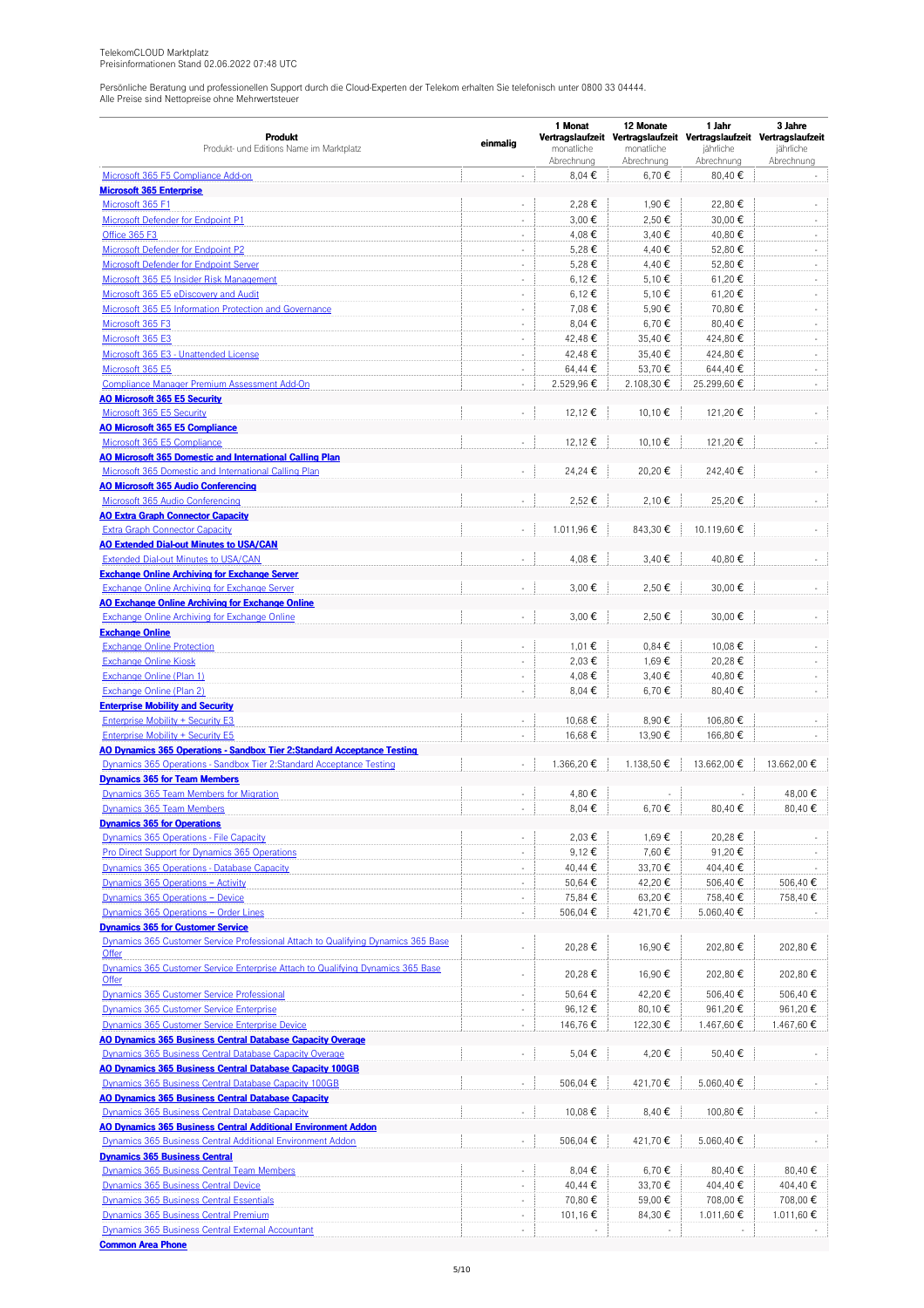|                                                                                   |                          | 1 Monat       | 12 Monate  | 1 Jahr                                                                           | 3 Jahre                  |
|-----------------------------------------------------------------------------------|--------------------------|---------------|------------|----------------------------------------------------------------------------------|--------------------------|
| <b>Produkt</b><br>Produkt- und Editions Name im Marktplatz                        | einmalig                 | monatliche    | monatliche | Vertragslaufzeit Vertragslaufzeit Vertragslaufzeit Vertragslaufzeit<br>jährliche | jährliche                |
|                                                                                   |                          | Abrechnung    | Abrechnung | Abrechnung                                                                       | Abrechnung               |
| Microsoft 365 F5 Compliance Add-on                                                |                          | 8,04€         | 6,70€      | 80,40€                                                                           |                          |
| <b>Microsoft 365 Enterprise</b>                                                   |                          |               |            |                                                                                  |                          |
| Microsoft 365 F1                                                                  | ÷,                       | 2,28€         | 1,90 €     | 22,80€                                                                           |                          |
| Microsoft Defender for Endpoint P1                                                | ÷,                       | 3,00€         | 2,50€      | 30,00€                                                                           | $\sim$                   |
| Office 365 F3                                                                     | ÷,                       | 4,08€         | 3,40€      | 40,80€                                                                           | ×.                       |
| Microsoft Defender for Endpoint P2                                                | $\overline{\phantom{a}}$ | 5,28€         | 4,40 €     | 52,80€                                                                           | $\overline{\phantom{a}}$ |
| <b>Microsoft Defender for Endpoint Server</b>                                     | $\overline{\phantom{a}}$ | 5,28€         | 4,40 €     | 52,80€                                                                           | $\overline{\phantom{a}}$ |
| Microsoft 365 E5 Insider Risk Management                                          | ÷,                       | 6,12€         | 5,10 €     | 61,20€                                                                           | ×.                       |
| Microsoft 365 E5 eDiscovery and Audit                                             | ×,                       | 6,12€         | 5,10 €     | 61,20€                                                                           | $\sim$                   |
| Microsoft 365 E5 Information Protection and Governance                            | $\overline{\phantom{a}}$ | 7,08€         | 5,90€      | 70,80€                                                                           | $\sim$                   |
| Microsoft 365 F3                                                                  | $\overline{\phantom{a}}$ | 8,04€         | 6,70€      | 80,40€                                                                           | $\blacksquare$           |
| Microsoft 365 E3                                                                  | $\overline{\phantom{a}}$ | 42,48€        | 35,40€     | 424,80 €                                                                         | $\sim$                   |
| Microsoft 365 E3 - Unattended License                                             | ÷,                       | 42,48€        | 35,40€     | 424,80€                                                                          | ×.                       |
| Microsoft 365 E5                                                                  | ÷,                       | 64,44 €       | 53,70€     | 644,40€                                                                          |                          |
| Compliance Manager Premium Assessment Add-On                                      | $\overline{\phantom{a}}$ | 2.529,96€     | 2.108,30 € | 25.299,60€                                                                       |                          |
| <b>AO Microsoft 365 E5 Security</b>                                               |                          |               |            |                                                                                  |                          |
| Microsoft 365 E5 Security                                                         | ÷,                       | 12,12€        | 10,10€     | 121,20€                                                                          |                          |
| <b>AO Microsoft 365 E5 Compliance</b>                                             |                          |               |            |                                                                                  |                          |
| Microsoft 365 E5 Compliance                                                       | ÷,                       | 12,12 €       | 10,10 €    | 121,20€                                                                          |                          |
| AO Microsoft 365 Domestic and International Calling Plan                          |                          |               |            |                                                                                  |                          |
| Microsoft 365 Domestic and International Calling Plan                             | L.                       | 24,24€        | 20,20€     | 242,40€                                                                          |                          |
| <b>AO Microsoft 365 Audio Conferencing</b>                                        |                          |               |            |                                                                                  |                          |
| Microsoft 365 Audio Conferencing                                                  |                          | 2,52€         | 2,10€      | 25,20€                                                                           |                          |
| <b>AO Extra Graph Connector Capacity</b>                                          |                          |               |            |                                                                                  |                          |
| <b>Extra Graph Connector Capacity</b>                                             | ÷,                       | 1.011.96€     | 843,30€    | 10.119,60€                                                                       |                          |
| <b>AO Extended Dial-out Minutes to USA/CAN</b>                                    |                          |               |            |                                                                                  |                          |
| Extended Dial-out Minutes to USA/CAN                                              | ä,                       | 4,08€         | 3,40€      | 40,80€                                                                           |                          |
| <b>Exchange Online Archiving for Exchange Server</b>                              |                          |               |            |                                                                                  |                          |
| Exchange Online Archiving for Exchange Server                                     | ÷,                       | 3,00€         | 2,50€      | 30,00€                                                                           |                          |
| <b>AO Exchange Online Archiving for Exchange Online</b>                           |                          |               |            |                                                                                  |                          |
| <b>Exchange Online Archiving for Exchange Online</b>                              | L,                       | 3,00€         | 2,50€      | 30,00€                                                                           |                          |
| <b>Exchange Online</b>                                                            |                          |               |            |                                                                                  |                          |
| <b>Exchange Online Protection</b>                                                 | $\overline{\phantom{a}}$ | 1,01€         | $0,84 \in$ | 10,08€                                                                           |                          |
| <b>Exchange Online Kiosk</b>                                                      | ÷,                       | 2,03€         | 1,69€      | 20,28€                                                                           | $\sim$                   |
| Exchange Online (Plan 1)                                                          | ×,                       | 4,08€         | 3,40€      | 40,80€                                                                           |                          |
| Exchange Online (Plan 2)                                                          | $\overline{\phantom{a}}$ | 8,04€         | 6,70€      | 80,40€                                                                           |                          |
| <b>Enterprise Mobility and Security</b>                                           |                          |               |            |                                                                                  |                          |
| Enterprise Mobility + Security E3                                                 | $\overline{\phantom{a}}$ | 10,68€        | 8,90€      | 106,80€                                                                          |                          |
| <b>Enterprise Mobility + Security E5</b>                                          | ÷,                       | 16,68€        | 13,90€     | 166,80€                                                                          |                          |
| AO Dynamics 365 Operations - Sandbox Tier 2:Standard Acceptance Testing           |                          |               |            |                                                                                  |                          |
| Dynamics 365 Operations - Sandbox Tier 2:Standard Acceptance Testing              |                          | 1.366,20€     | 1.138,50€  | 13.662,00 €                                                                      | 13.662.00€               |
| <b>Dynamics 365 for Team Members</b>                                              |                          |               |            |                                                                                  |                          |
| Dynamics 365 Team Members for Migration                                           |                          | 4,80€         |            |                                                                                  | 48,00€                   |
| Dynamics 365 Team Members                                                         | ÷,                       | 8,04€         | 6,70€      | 80,40€                                                                           | 80,40€                   |
| <b>Dynamics 365 for Operations</b>                                                |                          |               |            |                                                                                  |                          |
| Dynamics 365 Operations - File Capacity                                           | ÷,                       | 2,03€         | 1,69€      | 20,28€                                                                           |                          |
| Pro Direct Support for Dynamics 365 Operations                                    | $\overline{\phantom{a}}$ | $9,12 \notin$ | 7,60€      | 91,20€                                                                           |                          |
| Dynamics 365 Operations - Database Capacity                                       | $\ddot{\phantom{a}}$     | 40,44 €       | 33,70€     | 404,40€                                                                          |                          |
| Dynamics 365 Operations - Activity                                                | $\overline{\phantom{a}}$ | 50,64 €       | 42,20€     | 506,40€                                                                          | 506,40€                  |
| Dynamics 365 Operations - Device                                                  | ÷,                       | 75,84 €       | 63,20€     | 758,40€                                                                          | 758,40 €                 |
| Dynamics 365 Operations - Order Lines                                             | $\ddot{\phantom{a}}$     | 506,04€       | 421,70€    | 5.060,40€                                                                        |                          |
| <b>Dynamics 365 for Customer Service</b>                                          |                          |               |            |                                                                                  |                          |
| Dynamics 365 Customer Service Professional Attach to Qualifying Dynamics 365 Base |                          | 20,28€        | 16,90€     | 202,80€                                                                          | 202,80€                  |
| Offer                                                                             |                          |               |            |                                                                                  |                          |
| Dynamics 365 Customer Service Enterprise Attach to Qualifying Dynamics 365 Base   | ÷,                       | 20,28€        | 16,90 €    | 202,80€                                                                          | 202,80 €                 |
| Offer                                                                             |                          |               |            |                                                                                  |                          |
| <b>Dynamics 365 Customer Service Professional</b>                                 | $\overline{\phantom{a}}$ | 50,64 €       | 42,20€     | 506,40€                                                                          | 506,40€                  |
| Dynamics 365 Customer Service Enterprise                                          | $\overline{\phantom{a}}$ | 96,12€        | 80,10€     | 961,20€                                                                          | 961,20€                  |
| Dynamics 365 Customer Service Enterprise Device                                   | $\Box$                   | 146,76€       | 122,30 €   | 1.467,60 €                                                                       | 1.467,60 €               |
| <b>AO Dynamics 365 Business Central Database Capacity Overage</b>                 |                          |               |            |                                                                                  |                          |
| Dynamics 365 Business Central Database Capacity Overage                           | $\overline{\phantom{a}}$ | 5,04 €        | 4,20€      | 50,40€                                                                           |                          |
| AO Dynamics 365 Business Central Database Capacity 100GB                          |                          |               |            |                                                                                  |                          |
| Dynamics 365 Business Central Database Capacity 100GB                             | $\blacksquare$           | 506,04 €      | 421,70€    | 5.060,40€                                                                        |                          |
| <b>AO Dynamics 365 Business Central Database Capacity</b>                         |                          |               |            |                                                                                  |                          |
| <b>Dynamics 365 Business Central Database Capacity</b>                            | $\overline{\phantom{a}}$ | 10,08€        | 8,40€      | 100,80€                                                                          |                          |
| <b>AO Dynamics 365 Business Central Additional Environment Addon</b>              |                          |               |            |                                                                                  |                          |
| <b>Dynamics 365 Business Central Additional Environment Addon</b>                 | L,                       | 506,04 €      | 421,70€    | 5.060,40€                                                                        |                          |
| <b>Dynamics 365 Business Central</b>                                              |                          |               |            |                                                                                  |                          |
| Dynamics 365 Business Central Team Members                                        | $\overline{\phantom{a}}$ | 8,04 €        | 6,70€      | 80,40€                                                                           | 80,40€                   |
| <b>Dynamics 365 Business Central Device</b>                                       | $\overline{\phantom{a}}$ | 40,44 €       | 33,70€     | 404,40€                                                                          | 404,40 €                 |
| <b>Dynamics 365 Business Central Essentials</b>                                   | $\overline{\phantom{a}}$ | 70,80€        | 59,00€     | 708,00€                                                                          | 708,00 €                 |
| Dynamics 365 Business Central Premium                                             | ÷,                       | 101,16€       | 84,30€     | 1.011,60 €                                                                       | 1.011,60 €               |
| <b>Dynamics 365 Business Central External Accountant</b>                          | ÷,                       |               |            |                                                                                  |                          |
| <b>Common Area Phone</b>                                                          |                          |               |            |                                                                                  |                          |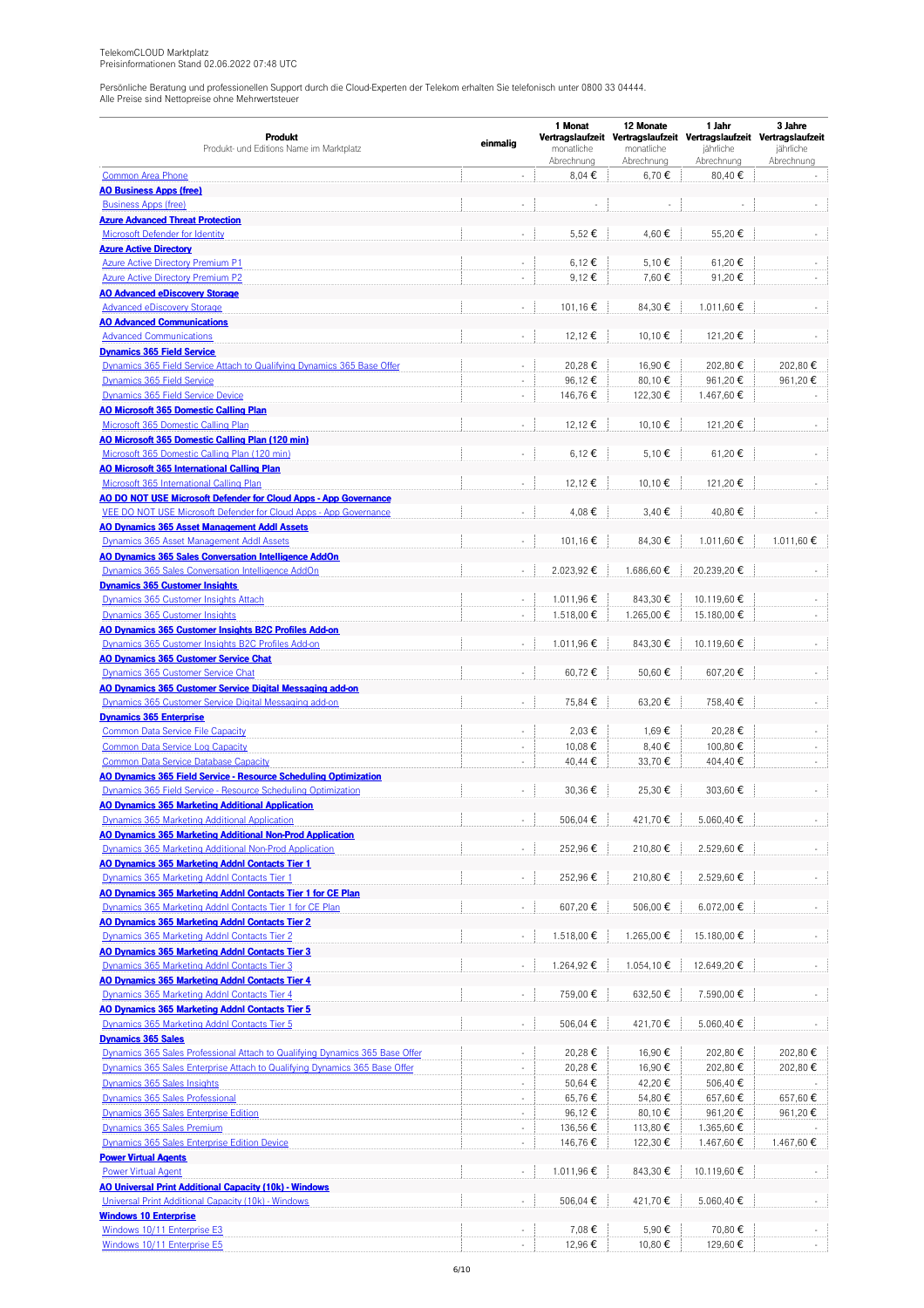|                                                                                                            | einmalig                 | 1 Monat                  | 12 Monate                | 1 Jahr                                                              | 3 Jahre                 |
|------------------------------------------------------------------------------------------------------------|--------------------------|--------------------------|--------------------------|---------------------------------------------------------------------|-------------------------|
| Produkt                                                                                                    |                          |                          |                          | Vertragslaufzeit Vertragslaufzeit Vertragslaufzeit Vertragslaufzeit |                         |
| Produkt- und Editions Name im Marktplatz                                                                   |                          | monatliche<br>Abrechnung | monatliche<br>Abrechnung | jährliche<br>Abrechnung                                             | jährliche<br>Abrechnung |
| <b>Common Area Phone</b>                                                                                   | ÷,                       | 8,04€                    | 6,70€                    | 80,40€                                                              |                         |
| <b>AO Business Apps (free)</b>                                                                             |                          |                          |                          |                                                                     |                         |
| <b>Business Apps (free)</b>                                                                                | ÷,                       |                          |                          |                                                                     |                         |
| <b>Azure Advanced Threat Protection</b>                                                                    |                          |                          |                          |                                                                     |                         |
| <b>Microsoft Defender for Identity</b>                                                                     |                          | 5,52€                    | 4,60€                    | 55,20€                                                              |                         |
| <b>Azure Active Directory</b>                                                                              |                          |                          |                          |                                                                     |                         |
| <b>Azure Active Directory Premium P1</b>                                                                   | ÷,                       | 6,12 €                   | 5,10€                    | 61,20€                                                              |                         |
| <b>Azure Active Directory Premium P2</b>                                                                   | ÷,                       | 9,12€                    | 7,60€                    | 91,20€                                                              |                         |
| <b>AO Advanced eDiscovery Storage</b>                                                                      |                          |                          |                          |                                                                     |                         |
| <b>Advanced eDiscovery Storage</b>                                                                         | $\Box$                   | 101.16€                  | 84,30€                   | 1.011.60€                                                           |                         |
| <b>AO Advanced Communications</b>                                                                          |                          |                          |                          |                                                                     |                         |
| <b>Advanced Communications</b>                                                                             |                          | 12,12€                   | 10,10€                   | 121,20€                                                             |                         |
| <b>Dynamics 365 Field Service</b>                                                                          |                          |                          |                          |                                                                     |                         |
| Dynamics 365 Field Service Attach to Qualifying Dynamics 365 Base Offer                                    | ÷,                       | 20,28€                   | 16,90€                   | 202,80€                                                             | 202,80€                 |
| Dynamics 365 Field Service                                                                                 | ÷,<br>ä,                 | 96,12€                   | 80,10€                   | 961,20€                                                             | 961,20€                 |
| Dynamics 365 Field Service Device                                                                          |                          | 146,76€                  | 122,30€                  | 1.467,60€                                                           |                         |
| <b>AO Microsoft 365 Domestic Calling Plan</b><br>Microsoft 365 Domestic Calling Plan                       |                          | 12,12 €                  | 10,10€                   | 121,20€                                                             |                         |
| AO Microsoft 365 Domestic Calling Plan (120 min)                                                           |                          |                          |                          |                                                                     |                         |
| Microsoft 365 Domestic Calling Plan (120 min)                                                              | ÷,                       | 6,12 €                   | 5,10 €                   | 61,20€                                                              |                         |
| <b>AO Microsoft 365 International Calling Plan</b>                                                         |                          |                          |                          |                                                                     |                         |
| Microsoft 365 International Calling Plan                                                                   | $\overline{\phantom{a}}$ | 12,12 €                  | 10,10€                   | 121,20€                                                             |                         |
| AO DO NOT USE Microsoft Defender for Cloud Apps - App Governance                                           |                          |                          |                          |                                                                     |                         |
| VEE DO NOT USE Microsoft Defender for Cloud Apps - App Governance                                          | ä,                       | 4,08€                    | 3,40€                    | 40,80€                                                              |                         |
| <b>AO Dynamics 365 Asset Management Addl Assets</b>                                                        |                          |                          |                          |                                                                     |                         |
| Dynamics 365 Asset Management Addl Assets                                                                  | ÷,                       | 101,16€                  | 84,30€                   | 1.011,60€                                                           | 1.011,60€               |
| AO Dynamics 365 Sales Conversation Intelligence AddOn                                                      |                          |                          |                          |                                                                     |                         |
| Dynamics 365 Sales Conversation Intelligence AddOn                                                         |                          | 2.023,92€                | 1.686,60€                | 20.239,20€                                                          |                         |
| <b>Dynamics 365 Customer Insights</b>                                                                      |                          |                          |                          |                                                                     |                         |
| Dynamics 365 Customer Insights Attach                                                                      |                          | 1.011,96€                | 843,30 €                 | 10.119,60€                                                          |                         |
| Dynamics 365 Customer Insights                                                                             | $\sim$                   | 1.518,00 €               | 1.265,00€                | 15.180,00 €                                                         |                         |
| AO Dynamics 365 Customer Insights B2C Profiles Add-on                                                      |                          |                          |                          |                                                                     |                         |
| Dynamics 365 Customer Insights B2C Profiles Add-on                                                         |                          | 1.011,96€                | 843,30 €                 | 10.119,60€                                                          |                         |
| <b>AO Dynamics 365 Customer Service Chat</b>                                                               |                          |                          |                          |                                                                     |                         |
| Dynamics 365 Customer Service Chat                                                                         | ÷,                       | 60,72€                   | 50,60€                   | 607,20€                                                             |                         |
| AO Dynamics 365 Customer Service Digital Messaging add-on                                                  |                          |                          |                          |                                                                     |                         |
| Dynamics 365 Customer Service Digital Messaging add-on                                                     |                          | 75,84 €                  | 63,20€                   | 758,40€                                                             |                         |
| <b>Dynamics 365 Enterprise</b>                                                                             |                          |                          |                          |                                                                     |                         |
| <b>Common Data Service File Capacity</b>                                                                   | ×.                       | 2,03€                    | 1.69€                    | 20,28€                                                              |                         |
| <b>Common Data Service Log Capacity</b>                                                                    |                          | 10,08€                   | 8,40€                    | 100,80 €                                                            |                         |
| <b>Common Data Service Database Capacity</b>                                                               | $\Box$                   | 40,44 €                  | 33,70€                   | 404,40€                                                             |                         |
| AO Dynamics 365 Field Service - Resource Scheduling Optimization                                           |                          |                          |                          |                                                                     |                         |
| Dynamics 365 Field Service - Resource Scheduling Optimization                                              |                          | 30.36€                   | 25,30 €                  | 303,60 €                                                            |                         |
| <b>AO Dynamics 365 Marketing Additional Application</b>                                                    |                          |                          |                          |                                                                     |                         |
| Dynamics 365 Marketing Additional Application<br>AO Dynamics 365 Marketing Additional Non-Prod Application | $\overline{\phantom{a}}$ | 506,04 €                 | 421,70€                  | 5.060,40 €                                                          |                         |
| Dynamics 365 Marketing Additional Non-Prod Application                                                     | $\overline{\phantom{a}}$ | 252,96€                  | 210,80€                  | 2.529,60€                                                           |                         |
| AO Dynamics 365 Marketing Addnl Contacts Tier 1                                                            |                          |                          |                          |                                                                     |                         |
| Dynamics 365 Marketing Addnl Contacts Tier 1                                                               | $\overline{\phantom{a}}$ | 252,96€                  | 210,80€                  | 2.529,60€                                                           |                         |
| AO Dynamics 365 Marketing Addnl Contacts Tier 1 for CE Plan                                                |                          |                          |                          |                                                                     |                         |
| Dynamics 365 Marketing Addnl Contacts Tier 1 for CE Plan                                                   | ÷.                       | 607,20€                  | 506,00 €                 | 6.072,00 €                                                          |                         |
| <b>AO Dynamics 365 Marketing Addnl Contacts Tier 2</b>                                                     |                          |                          |                          |                                                                     |                         |
| Dynamics 365 Marketing Addnl Contacts Tier 2                                                               | $\blacksquare$           | 1.518,00€                | 1.265,00 €               | 15.180,00€                                                          |                         |
| AO Dynamics 365 Marketing Addnl Contacts Tier 3                                                            |                          |                          |                          |                                                                     |                         |
| Dynamics 365 Marketing Addnl Contacts Tier 3                                                               | $\blacksquare$           | 1.264,92€                | 1.054,10€                | 12.649,20€                                                          |                         |
| AO Dynamics 365 Marketing Addnl Contacts Tier 4                                                            |                          |                          |                          |                                                                     |                         |
| Dynamics 365 Marketing Addnl Contacts Tier 4                                                               | $\blacksquare$           | 759,00€                  | 632,50 €                 | 7.590,00 €                                                          |                         |
| AO Dynamics 365 Marketing Addnl Contacts Tier 5                                                            |                          |                          |                          |                                                                     |                         |
| Dynamics 365 Marketing Addnl Contacts Tier 5                                                               | $\blacksquare$           | 506,04 €                 | 421,70€                  | 5.060,40 €                                                          |                         |
| <b>Dynamics 365 Sales</b>                                                                                  |                          |                          |                          |                                                                     |                         |
| Dynamics 365 Sales Professional Attach to Qualifying Dynamics 365 Base Offer                               | $\sim$                   | 20,28€                   | 16,90€                   | 202,80€                                                             | 202,80 €                |
| Dynamics 365 Sales Enterprise Attach to Qualifying Dynamics 365 Base Offer                                 |                          | 20,28€                   | 16,90€                   | 202,80€                                                             | 202,80 €                |
| Dynamics 365 Sales Insights                                                                                | $\overline{\phantom{a}}$ | 50,64 €                  | 42,20€                   | 506,40€                                                             |                         |
| Dynamics 365 Sales Professional                                                                            | $\overline{\phantom{a}}$ | 65,76€                   | 54,80€                   | 657,60€                                                             | 657,60€                 |
| Dynamics 365 Sales Enterprise Edition                                                                      | ÷,                       | 96,12€                   | 80,10 €                  | 961,20€                                                             | 961,20€                 |
| Dynamics 365 Sales Premium                                                                                 | ÷,                       | 136,56€                  | 113,80 €                 | 1.365,60 €                                                          |                         |
| <b>Dynamics 365 Sales Enterprise Edition Device</b>                                                        | ÷,                       | 146,76€                  | 122,30 €                 | 1.467,60€                                                           | 1.467,60 €              |
| <b>Power Virtual Agents</b>                                                                                |                          |                          |                          |                                                                     |                         |
| <b>Power Virtual Agent</b>                                                                                 | $\overline{\phantom{a}}$ | 1.011,96€                | 843,30 €                 | 10.119,60€                                                          |                         |
| AO Universal Print Additional Capacity (10k) - Windows                                                     |                          |                          |                          |                                                                     |                         |
| Universal Print Additional Capacity (10k) - Windows                                                        | $\overline{\phantom{a}}$ | 506,04 €                 | 421,70€                  | 5.060,40 €                                                          |                         |
| <b>Windows 10 Enterprise</b>                                                                               |                          |                          |                          |                                                                     |                         |
| Windows 10/11 Enterprise E3                                                                                |                          | 7,08€                    | 5,90 €                   | 70,80€                                                              |                         |
| Windows 10/11 Enterprise E5                                                                                |                          | 12,96€                   | 10,80 €                  | 129,60 €                                                            |                         |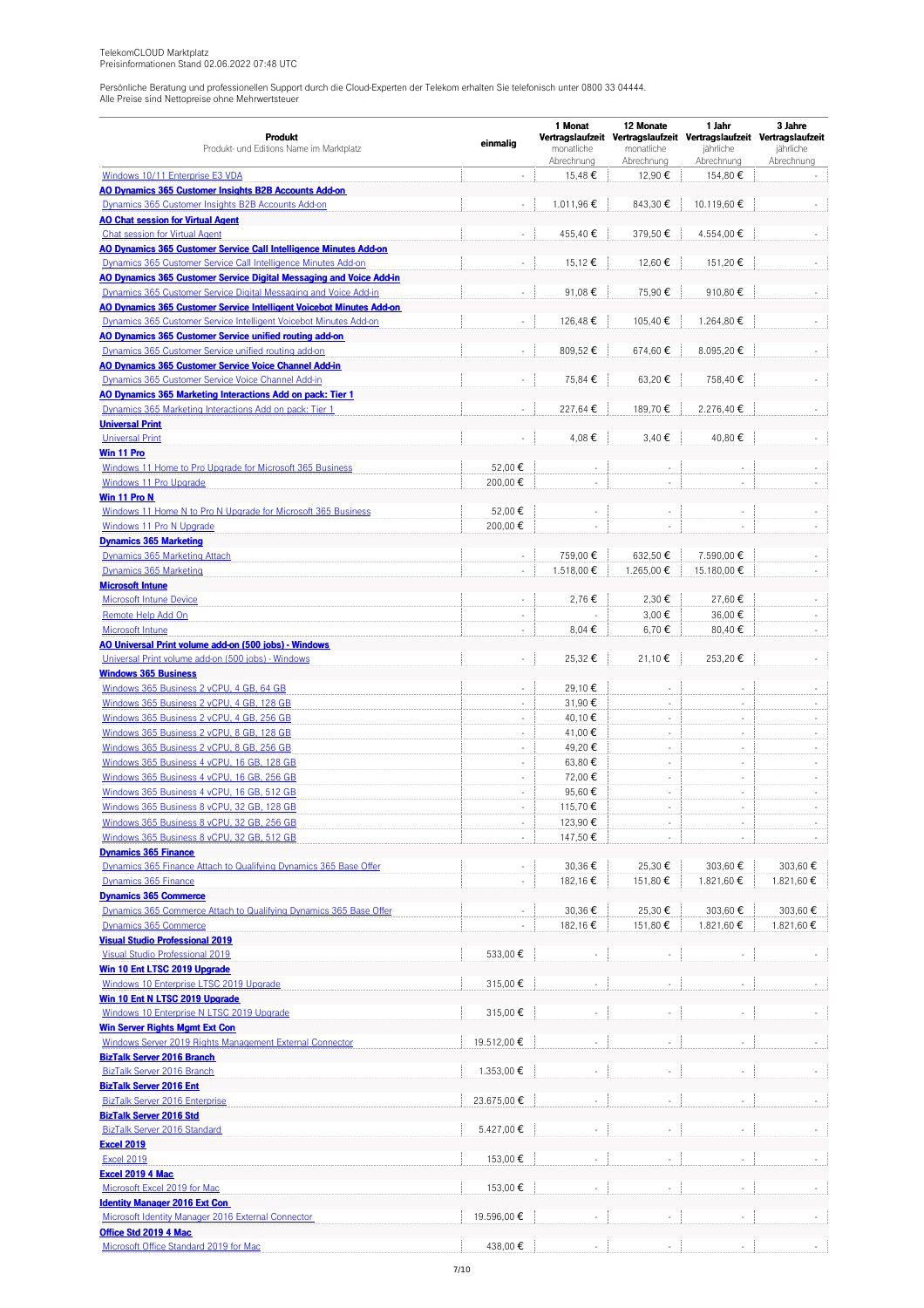|                                                                         |                             | 1 Monat                  | 12 Monate                      | 1 Jahr                                                              | 3 Jahre                 |
|-------------------------------------------------------------------------|-----------------------------|--------------------------|--------------------------------|---------------------------------------------------------------------|-------------------------|
| Produkt                                                                 | einmalig                    |                          |                                | Vertragslaufzeit Vertragslaufzeit Vertragslaufzeit Vertragslaufzeit |                         |
| Produkt- und Editions Name im Marktplatz                                |                             | monatliche<br>Abrechnung | monatliche<br>Abrechnung       | jährliche<br>Abrechnung                                             | jährliche<br>Abrechnung |
| Windows 10/11 Enterprise E3 VDA                                         | ä,                          | 15,48€                   | 12,90€                         | 154,80€                                                             |                         |
| AO Dynamics 365 Customer Insights B2B Accounts Add-on                   |                             |                          |                                |                                                                     |                         |
| Dynamics 365 Customer Insights B2B Accounts Add-on                      | ä,                          | 1.011,96€                | 843.30€                        | 10.119,60€                                                          |                         |
| <b>AO Chat session for Virtual Agent</b>                                |                             |                          |                                |                                                                     |                         |
| <b>Chat session for Virtual Agent</b>                                   |                             | 455,40€                  | 379,50€                        | 4.554,00€                                                           |                         |
| AO Dynamics 365 Customer Service Call Intelligence Minutes Add-on       |                             |                          |                                |                                                                     |                         |
| Dynamics 365 Customer Service Call Intelligence Minutes Add-on          | ä,                          | 15,12€                   | 12,60€                         | 151,20€                                                             |                         |
| AO Dynamics 365 Customer Service Digital Messaging and Voice Add-in     |                             |                          |                                |                                                                     |                         |
| Dynamics 365 Customer Service Digital Messaging and Voice Add-in        | ÷,                          | 91,08€                   | 75,90€                         | 910,80€                                                             |                         |
| AO Dynamics 365 Customer Service Intelligent Voicebot Minutes Add-on    |                             |                          |                                |                                                                     |                         |
| Dynamics 365 Customer Service Intelligent Voicebot Minutes Add-on       | $\overline{\phantom{a}}$    | 126,48€                  | 105,40€                        | 1.264,80 €                                                          |                         |
| AO Dynamics 365 Customer Service unified routing add-on                 |                             |                          |                                |                                                                     |                         |
| Dynamics 365 Customer Service unified routing add-on                    |                             | 809,52€                  | 674,60€                        | 8.095,20€                                                           |                         |
| AO Dynamics 365 Customer Service Voice Channel Add-in                   |                             |                          |                                |                                                                     |                         |
| Dynamics 365 Customer Service Voice Channel Add-in                      | $\overline{\phantom{a}}$    | 75,84 €                  | 63,20€                         | 758,40€                                                             |                         |
| AO Dynamics 365 Marketing Interactions Add on pack: Tier 1              |                             |                          |                                |                                                                     |                         |
| Dynamics 365 Marketing Interactions Add on pack: Tier 1                 | ×.                          | 227,64 €                 | 189,70€                        | 2.276,40€                                                           |                         |
| <b>Universal Print</b>                                                  |                             |                          |                                |                                                                     |                         |
| <b>Universal Print</b>                                                  | ÷,                          | 4,08€                    | 3,40€                          | 40,80€                                                              |                         |
| Win 11 Pro                                                              |                             |                          |                                |                                                                     |                         |
| Windows 11 Home to Pro Upgrade for Microsoft 365 Business               | 52,00 €                     |                          |                                |                                                                     |                         |
| Windows 11 Pro Upgrade                                                  | 200,00€                     | ×,                       | ÷                              | $\sim$                                                              |                         |
| Win 11 Pro N                                                            |                             |                          |                                |                                                                     |                         |
| Windows 11 Home N to Pro N Upgrade for Microsoft 365 Business           | 52,00€                      | $\sim$                   | ÷,                             |                                                                     |                         |
| Windows 11 Pro N Upgrade                                                | 200,00€                     |                          | ÷,                             | ä,                                                                  |                         |
| <b>Dynamics 365 Marketing</b>                                           |                             |                          |                                |                                                                     |                         |
| Dynamics 365 Marketing Attach                                           | ×,                          | 759,00€                  | 632,50 €                       | 7.590,00 €                                                          |                         |
| Dynamics 365 Marketing                                                  | $\mathcal{L}_{\mathcal{A}}$ | 1.518,00 €               | 1.265,00€                      | 15.180,00 €                                                         |                         |
| <b>Microsoft Intune</b>                                                 |                             |                          |                                |                                                                     |                         |
| <b>Microsoft Intune Device</b>                                          | ÷,                          | 2,76€                    | 2,30€                          | 27,60€                                                              |                         |
| Remote Help Add On                                                      | ×,                          |                          | 3,00€                          | 36,00€                                                              | $\sim$                  |
| Microsoft Intune                                                        | ÷,                          | 8,04€                    | 6,70€                          | 80,40€                                                              |                         |
| AO Universal Print volume add-on (500 jobs) - Windows                   |                             |                          |                                |                                                                     |                         |
| Universal Print volume add-on (500 jobs) - Windows                      | $\Box$                      | 25,32€                   | 21,10€                         | 253,20€                                                             |                         |
| <b>Windows 365 Business</b><br>Windows 365 Business 2 vCPU, 4 GB, 64 GB |                             | 29,10€                   |                                |                                                                     |                         |
| Windows 365 Business 2 vCPU, 4 GB, 128 GB                               | à.                          | 31,90€                   | $\overline{\phantom{a}}$<br>÷, |                                                                     |                         |
| Windows 365 Business 2 vCPU, 4 GB, 256 GB                               | ÷,                          | 40,10€                   | ÷                              |                                                                     |                         |
| Windows 365 Business 2 vCPU, 8 GB, 128 GB                               | $\bar{z}$                   | 41,00€                   | ÷,                             | ä,                                                                  |                         |
| Windows 365 Business 2 vCPU, 8 GB, 256 GB                               | $\overline{\phantom{a}}$    | 49,20€                   | ÷                              | $\overline{\phantom{a}}$                                            | $\sim$                  |
| Windows 365 Business 4 vCPU, 16 GB, 128 GB                              | $\overline{\phantom{a}}$    | 63,80 €                  |                                | $\sim$                                                              |                         |
| Windows 365 Business 4 vCPU, 16 GB, 256 GB                              | $\epsilon$                  | 72,00€                   | $\sim$<br>÷,                   | ÷                                                                   | $\sim$                  |
| Windows 365 Business 4 vCPU, 16 GB, 512 GB                              | ÷,                          | 95,60€                   | ÷,                             |                                                                     |                         |
| Windows 365 Business 8 vCPU, 32 GB, 128 GB                              | ×,                          | 115,70€                  | ÷,                             |                                                                     |                         |
| Windows 365 Business 8 vCPU, 32 GB, 256 GB                              | $\overline{\phantom{a}}$    | 123,90€                  |                                |                                                                     |                         |
| Windows 365 Business 8 vCPU, 32 GB, 512 GB                              | ÷,                          | 147,50€                  |                                |                                                                     |                         |
| <b>Dynamics 365 Finance</b>                                             |                             |                          |                                |                                                                     |                         |
| Dynamics 365 Finance Attach to Qualifying Dynamics 365 Base Offer       |                             | 30,36€                   | 25,30€                         | 303,60 €                                                            | 303,60€                 |
| Dynamics 365 Finance                                                    |                             | 182,16€                  | 151,80 €                       | 1.821,60 €                                                          | 1.821,60 €              |
| <b>Dynamics 365 Commerce</b>                                            |                             |                          |                                |                                                                     |                         |
| Dynamics 365 Commerce Attach to Qualifying Dynamics 365 Base Offer      |                             | 30,36€                   | 25,30 €                        | 303,60 €                                                            | 303,60 €                |
| Dynamics 365 Commerce                                                   |                             | 182,16€                  | 151,80 €                       | 1.821,60 €                                                          | 1.821,60 €              |
| <b>Visual Studio Professional 2019</b>                                  |                             |                          |                                |                                                                     |                         |
| Visual Studio Professional 2019                                         | 533,00€                     |                          | ÷,                             |                                                                     |                         |
| Win 10 Ent LTSC 2019 Upgrade                                            |                             |                          |                                |                                                                     |                         |
| Windows 10 Enterprise LTSC 2019 Upgrade                                 | 315,00€                     |                          |                                |                                                                     |                         |
| Win 10 Ent N LTSC 2019 Upgrade                                          |                             |                          |                                |                                                                     |                         |
| Windows 10 Enterprise N LTSC 2019 Upgrade                               | 315,00€                     |                          | ÷,                             |                                                                     |                         |
| <b>Win Server Rights Mgmt Ext Con</b>                                   |                             |                          |                                |                                                                     |                         |
| Windows Server 2019 Rights Management External Connector                | 19.512,00 €                 |                          | ÷                              |                                                                     |                         |
| <b>BizTalk Server 2016 Branch</b>                                       |                             |                          |                                |                                                                     |                         |
| <b>BizTalk Server 2016 Branch</b>                                       | 1.353,00 €                  |                          | ä,                             |                                                                     |                         |
| <b>BizTalk Server 2016 Ent</b>                                          |                             |                          |                                |                                                                     |                         |
| <b>BizTalk Server 2016 Enterprise</b>                                   | 23.675,00€                  |                          |                                |                                                                     |                         |
| <b>BizTalk Server 2016 Std</b>                                          |                             |                          |                                |                                                                     |                         |
| BizTalk Server 2016 Standard                                            | 5.427,00€                   |                          |                                |                                                                     |                         |
| <b>Excel 2019</b>                                                       |                             |                          |                                |                                                                     |                         |
| <b>Excel 2019</b>                                                       | 153,00 €                    |                          |                                |                                                                     |                         |
| <b>Excel 2019 4 Mac</b>                                                 |                             |                          |                                |                                                                     |                         |
| Microsoft Excel 2019 for Mac                                            | 153,00€                     |                          |                                |                                                                     |                         |
| <b>Identity Manager 2016 Ext Con</b>                                    |                             |                          |                                |                                                                     |                         |
| Microsoft Identity Manager 2016 External Connector                      | 19.596,00€                  |                          |                                |                                                                     |                         |
| Office Std 2019 4 Mac                                                   |                             |                          |                                |                                                                     |                         |
| Microsoft Office Standard 2019 for Mac                                  | 438,00€                     |                          |                                |                                                                     |                         |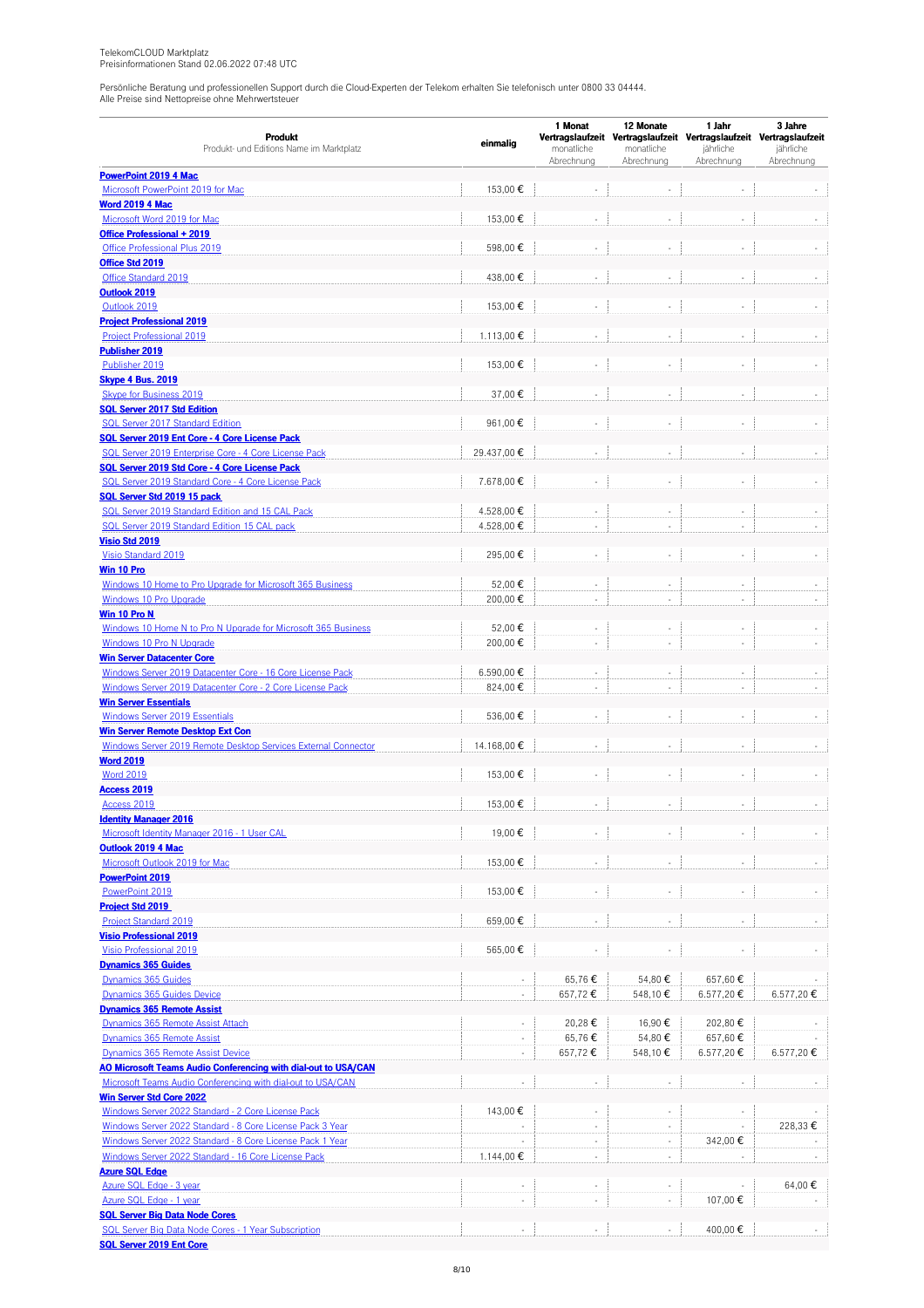|                                                                                                  |                          | 1 Monat                  | 12 Monate                | 1 Jahr                                                                           | 3 Jahre    |  |
|--------------------------------------------------------------------------------------------------|--------------------------|--------------------------|--------------------------|----------------------------------------------------------------------------------|------------|--|
| Produkt<br>Produkt- und Editions Name im Marktplatz                                              | einmalig                 | monatliche               | monatliche               | Vertragslaufzeit Vertragslaufzeit Vertragslaufzeit Vertragslaufzeit<br>jährliche | jährliche  |  |
|                                                                                                  |                          | Abrechnung               | Abrechnung               | Abrechnung                                                                       | Abrechnung |  |
| <b>PowerPoint 2019 4 Mac</b>                                                                     |                          |                          |                          |                                                                                  |            |  |
| Microsoft PowerPoint 2019 for Mac                                                                | 153,00 €                 |                          |                          |                                                                                  |            |  |
| <b>Word 2019 4 Mac</b>                                                                           |                          |                          |                          |                                                                                  |            |  |
| Microsoft Word 2019 for Mac                                                                      | 153,00€                  |                          |                          |                                                                                  |            |  |
| Office Professional + 2019<br>Office Professional Plus 2019                                      | 598,00€                  |                          | ÷,                       | L.                                                                               |            |  |
| Office Std 2019                                                                                  |                          |                          |                          |                                                                                  |            |  |
| Office Standard 2019                                                                             | 438,00€                  |                          | $\overline{\phantom{a}}$ |                                                                                  |            |  |
| Outlook 2019                                                                                     |                          |                          |                          |                                                                                  |            |  |
| Outlook 2019                                                                                     | 153,00€                  |                          | $\sim$                   | ä,                                                                               |            |  |
| <b>Project Professional 2019</b>                                                                 |                          |                          |                          |                                                                                  |            |  |
| <b>Project Professional 2019</b>                                                                 | 1.113,00€                |                          | ÷,                       |                                                                                  |            |  |
| <b>Publisher 2019</b>                                                                            |                          |                          |                          |                                                                                  |            |  |
| Publisher 2019<br><b>Skype 4 Bus. 2019</b>                                                       | 153,00€                  |                          |                          |                                                                                  |            |  |
| Skype for Business 2019                                                                          | 37,00€                   |                          | ÷,                       |                                                                                  |            |  |
| <b>SQL Server 2017 Std Edition</b>                                                               |                          |                          |                          |                                                                                  |            |  |
| <b>SQL Server 2017 Standard Edition</b>                                                          | 961,00€                  |                          |                          |                                                                                  |            |  |
| SQL Server 2019 Ent Core - 4 Core License Pack                                                   |                          |                          |                          |                                                                                  |            |  |
| SQL Server 2019 Enterprise Core - 4 Core License Pack                                            | 29.437,00€               |                          | ÷.                       |                                                                                  |            |  |
| SQL Server 2019 Std Core - 4 Core License Pack                                                   |                          |                          |                          |                                                                                  |            |  |
| SQL Server 2019 Standard Core - 4 Core License Pack                                              | 7.678,00 €               |                          | ÷,                       |                                                                                  |            |  |
| SQL Server Std 2019 15 pack                                                                      |                          |                          |                          |                                                                                  |            |  |
| SQL Server 2019 Standard Edition and 15 CAL Pack<br>SQL Server 2019 Standard Edition 15 CAL pack | 4.528,00 €<br>4.528,00€  |                          | ٠<br>×,                  | L.                                                                               |            |  |
| <b>Visio Std 2019</b>                                                                            |                          |                          |                          |                                                                                  |            |  |
| Visio Standard 2019                                                                              | 295,00€                  |                          |                          |                                                                                  |            |  |
| Win 10 Pro                                                                                       |                          |                          |                          |                                                                                  |            |  |
| Windows 10 Home to Pro Upgrade for Microsoft 365 Business                                        | 52,00€                   |                          |                          |                                                                                  |            |  |
| Windows 10 Pro Upgrade                                                                           | 200,00€                  |                          | ÷.                       |                                                                                  |            |  |
| Win 10 Pro N                                                                                     |                          |                          |                          |                                                                                  |            |  |
| Windows 10 Home N to Pro N Upgrade for Microsoft 365 Business                                    | 52,00€                   |                          |                          |                                                                                  |            |  |
| Windows 10 Pro N Upgrade                                                                         | 200,00€                  |                          | ÷.                       |                                                                                  |            |  |
| <b>Win Server Datacenter Core</b><br>Windows Server 2019 Datacenter Core - 16 Core License Pack  | 6.590,00€                |                          | ÷,                       |                                                                                  |            |  |
| Windows Server 2019 Datacenter Core - 2 Core License Pack                                        | 824,00€                  | ÷,                       | $\overline{\phantom{a}}$ | $\overline{\phantom{a}}$                                                         |            |  |
| <b>Win Server Essentials</b>                                                                     |                          |                          |                          |                                                                                  |            |  |
| <b>Windows Server 2019 Essentials</b>                                                            | 536,00€                  | ÷,                       | $\overline{\phantom{a}}$ | $\overline{\phantom{m}}$                                                         |            |  |
| <b>Win Server Remote Desktop Ext Con</b>                                                         |                          |                          |                          |                                                                                  |            |  |
| Windows Server 2019 Remote Desktop Services External Connector                                   | 14.168.00 €              |                          | ÷,                       |                                                                                  |            |  |
| <b>Word 2019</b>                                                                                 |                          |                          |                          |                                                                                  |            |  |
| <b>Word 2019</b>                                                                                 | 153,00€                  |                          |                          |                                                                                  |            |  |
| <b>Access 2019</b><br>Access 2019                                                                | 153.00€                  |                          |                          |                                                                                  |            |  |
| <b>Identity Manager 2016</b>                                                                     |                          |                          |                          |                                                                                  |            |  |
| Microsoft Identity Manager 2016 - 1 User CAL                                                     | 19,00€                   |                          |                          |                                                                                  |            |  |
| Outlook 2019 4 Mac                                                                               |                          |                          |                          |                                                                                  |            |  |
| Microsoft Outlook 2019 for Mac                                                                   | 153,00€                  |                          |                          |                                                                                  |            |  |
| <b>PowerPoint 2019</b>                                                                           |                          |                          |                          |                                                                                  |            |  |
| PowerPoint 2019                                                                                  | 153,00 €                 |                          | ÷.                       | ä,                                                                               |            |  |
| <b>Project Std 2019</b>                                                                          |                          |                          |                          |                                                                                  |            |  |
| <b>Project Standard 2019</b>                                                                     | 659,00€                  |                          | $\overline{\phantom{a}}$ |                                                                                  |            |  |
| <b>Visio Professional 2019</b><br>Visio Professional 2019                                        | 565,00 €                 |                          | $\sim$                   |                                                                                  |            |  |
| <b>Dynamics 365 Guides</b>                                                                       |                          |                          |                          |                                                                                  |            |  |
| Dynamics 365 Guides                                                                              |                          | 65,76€                   | 54,80€                   | 657,60€                                                                          |            |  |
| Dynamics 365 Guides Device                                                                       | ÷.                       | 657,72€                  | 548,10€                  | 6.577,20€                                                                        | 6.577,20€  |  |
| <b>Dynamics 365 Remote Assist</b>                                                                |                          |                          |                          |                                                                                  |            |  |
| Dynamics 365 Remote Assist Attach                                                                | $\overline{\phantom{a}}$ | 20,28€                   | 16,90€                   | 202,80€                                                                          |            |  |
| Dynamics 365 Remote Assist                                                                       | ÷.                       | 65,76€                   | 54,80€                   | 657,60€                                                                          |            |  |
| Dynamics 365 Remote Assist Device                                                                | $\sim$                   | 657,72€                  | 548,10€                  | 6.577,20€                                                                        | 6.577,20€  |  |
| AO Microsoft Teams Audio Conferencing with dial-out to USA/CAN                                   |                          |                          |                          |                                                                                  |            |  |
| Microsoft Teams Audio Conferencing with dial-out to USA/CAN<br><b>Win Server Std Core 2022</b>   |                          |                          | ÷,                       |                                                                                  |            |  |
| Windows Server 2022 Standard - 2 Core License Pack                                               | 143,00 €                 |                          | $\overline{\phantom{a}}$ |                                                                                  |            |  |
| Windows Server 2022 Standard - 8 Core License Pack 3 Year                                        |                          | $\overline{\phantom{a}}$ | $\overline{\phantom{a}}$ |                                                                                  | 228,33 €   |  |
| Windows Server 2022 Standard - 8 Core License Pack 1 Year                                        |                          |                          | ÷.                       | 342,00 €                                                                         |            |  |
| Windows Server 2022 Standard - 16 Core License Pack                                              | 1.144,00 €               |                          | ÷.                       |                                                                                  |            |  |
| <b>Azure SQL Edge</b>                                                                            |                          |                          |                          |                                                                                  |            |  |
| Azure SQL Edge - 3 year                                                                          |                          |                          |                          |                                                                                  | 64,00€     |  |
| Azure SQL Edge - 1 year                                                                          | $\overline{\phantom{a}}$ | ÷,                       | $\sim$                   | 107,00€                                                                          |            |  |
| <b>SQL Server Big Data Node Cores</b><br>SQL Server Big Data Node Cores - 1 Year Subscription    | $\sim$                   |                          |                          | 400,00€                                                                          |            |  |
| <b>SQL Server 2019 Ent Core</b>                                                                  |                          |                          | ٠                        |                                                                                  |            |  |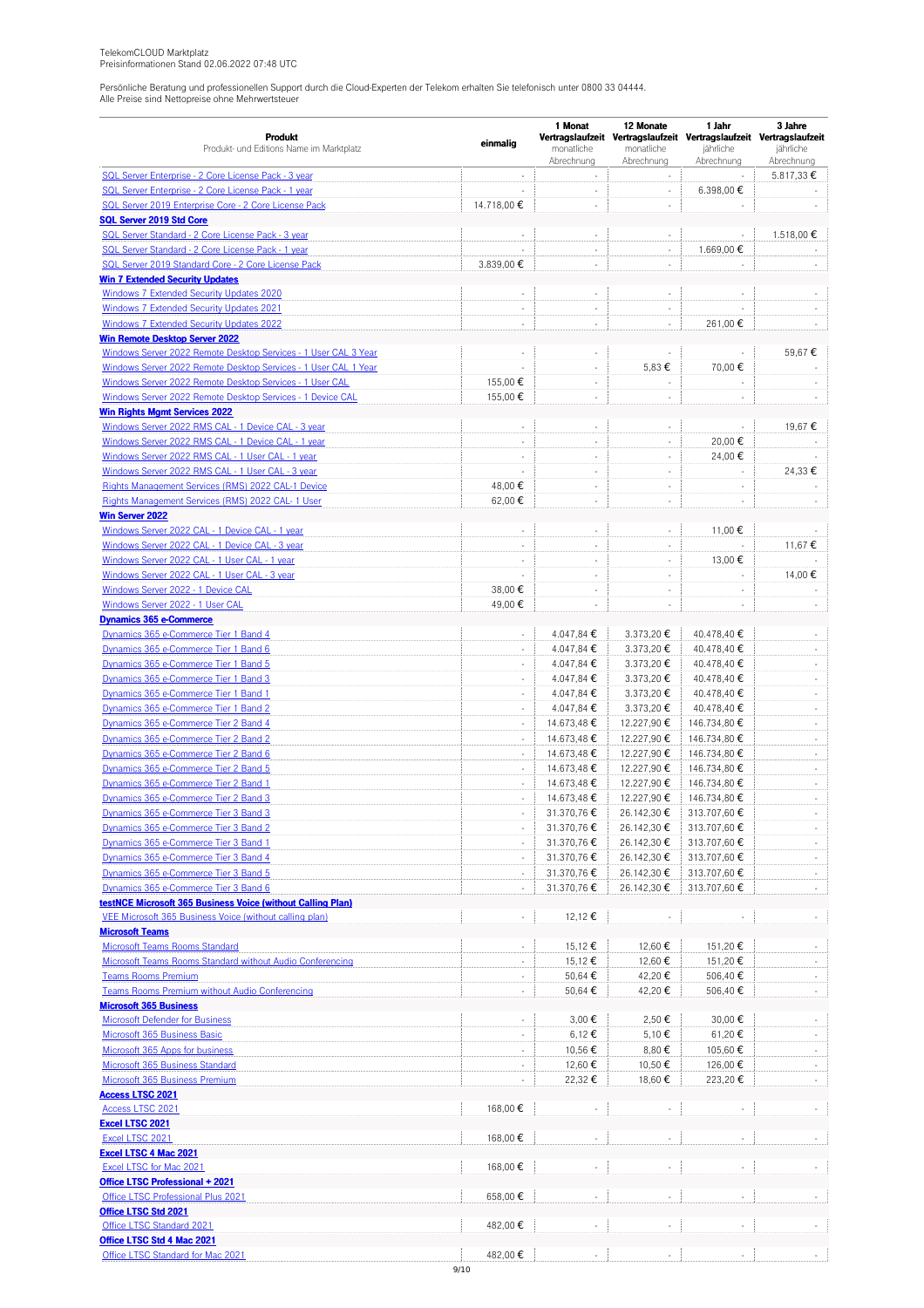|                                                                                             |                          | 1 Monat                    | 12 Monate                | 1 Jahr                                                                           | 3 Jahre                        |
|---------------------------------------------------------------------------------------------|--------------------------|----------------------------|--------------------------|----------------------------------------------------------------------------------|--------------------------------|
| Produkt<br>Produkt- und Editions Name im Marktplatz                                         | einmalig                 | monatliche                 | monatliche               | Vertragslaufzeit Vertragslaufzeit Vertragslaufzeit Vertragslaufzeit<br>jährliche | jährliche                      |
|                                                                                             |                          | Abrechnung                 | Abrechnung               | Abrechnung                                                                       | Abrechnung                     |
| SQL Server Enterprise - 2 Core License Pack - 3 year                                        |                          |                            | $\bar{\phantom{a}}$      |                                                                                  | 5.817,33 €                     |
| SQL Server Enterprise - 2 Core License Pack - 1 year                                        |                          | $\overline{\phantom{a}}$   | $\overline{\phantom{a}}$ | 6.398,00 €                                                                       |                                |
| SQL Server 2019 Enterprise Core - 2 Core License Pack                                       | 14.718,00 €              | ÷,                         | ÷,                       |                                                                                  |                                |
| <b>SQL Server 2019 Std Core</b>                                                             |                          |                            |                          |                                                                                  |                                |
| SQL Server Standard - 2 Core License Pack - 3 year                                          |                          |                            | ÷,                       |                                                                                  | 1.518,00 €                     |
| SQL Server Standard - 2 Core License Pack - 1 year                                          |                          | ÷                          | $\overline{\phantom{a}}$ | 1.669,00 €                                                                       |                                |
| SQL Server 2019 Standard Core - 2 Core License Pack                                         | 3.839,00 €               | ÷,                         | ÷                        |                                                                                  |                                |
| <b>Win 7 Extended Security Updates</b>                                                      |                          | ÷,                         |                          |                                                                                  |                                |
| <b>Windows 7 Extended Security Updates 2020</b><br>Windows 7 Extended Security Updates 2021 |                          |                            | ÷,<br>÷,                 |                                                                                  |                                |
| <b>Windows 7 Extended Security Updates 2022</b>                                             | $\sim$                   | ÷,                         |                          |                                                                                  |                                |
| <b>Win Remote Desktop Server 2022</b>                                                       |                          |                            | $\overline{\phantom{a}}$ | 261,00€                                                                          |                                |
| Windows Server 2022 Remote Desktop Services - 1 User CAL 3 Year                             |                          | ÷                          |                          |                                                                                  | 59,67€                         |
| Windows Server 2022 Remote Desktop Services - 1 User CAL 1 Year                             | L.                       | ÷,                         | 5,83 €                   | 70,00€                                                                           |                                |
| Windows Server 2022 Remote Desktop Services - 1 User CAL                                    | 155,00 €                 | ÷,                         | ÷,                       |                                                                                  |                                |
| Windows Server 2022 Remote Desktop Services - 1 Device CAL                                  | 155,00 €                 | ÷,                         | ÷,                       |                                                                                  |                                |
| <b>Win Rights Mgmt Services 2022</b>                                                        |                          |                            |                          |                                                                                  |                                |
| Windows Server 2022 RMS CAL - 1 Device CAL - 3 year                                         |                          | ÷,                         |                          |                                                                                  | 19,67€                         |
| Windows Server 2022 RMS CAL - 1 Device CAL - 1 year                                         | ÷,                       | ÷                          | $\overline{\phantom{a}}$ | 20,00€                                                                           |                                |
| Windows Server 2022 RMS CAL - 1 User CAL - 1 year                                           | $\overline{\phantom{a}}$ | ÷,                         | $\overline{\phantom{a}}$ | 24,00€                                                                           |                                |
| Windows Server 2022 RMS CAL - 1 User CAL - 3 year                                           | ÷,                       |                            | ÷,                       |                                                                                  | 24,33€                         |
| Rights Management Services (RMS) 2022 CAL-1 Device                                          | 48,00€                   | ÷,                         | ÷,                       |                                                                                  |                                |
| Rights Management Services (RMS) 2022 CAL- 1 User                                           | 62,00€                   | ÷                          | ÷                        |                                                                                  |                                |
| <b>Win Server 2022</b>                                                                      |                          |                            |                          |                                                                                  |                                |
| Windows Server 2022 CAL - 1 Device CAL - 1 year                                             | ÷,                       | ÷,                         | ٠                        | 11,00€                                                                           |                                |
| Windows Server 2022 CAL - 1 Device CAL - 3 year                                             | $\sim$                   | $\sim$                     | ÷,                       |                                                                                  | 11,67 €                        |
| Windows Server 2022 CAL - 1 User CAL - 1 year                                               |                          |                            | ÷                        | 13,00€                                                                           |                                |
| Windows Server 2022 CAL - 1 User CAL - 3 year                                               |                          | $\overline{\phantom{a}}$   | $\overline{\phantom{a}}$ |                                                                                  | 14,00€                         |
| Windows Server 2022 - 1 Device CAL                                                          | 38,00€                   | ÷,                         | ÷                        |                                                                                  |                                |
| Windows Server 2022 - 1 User CAL                                                            | 49,00€                   | ÷,                         | ÷,                       |                                                                                  |                                |
| <b>Dynamics 365 e-Commerce</b>                                                              |                          |                            |                          |                                                                                  |                                |
| Dynamics 365 e-Commerce Tier 1 Band 4                                                       | ÷,                       | 4.047,84 €                 | 3.373,20€                | 40.478,40€                                                                       |                                |
| Dynamics 365 e-Commerce Tier 1 Band 6                                                       |                          | 4.047,84 €                 | 3.373,20€                | 40.478,40€                                                                       |                                |
| Dynamics 365 e-Commerce Tier 1 Band 5                                                       | ÷,                       | 4.047,84 €                 | 3.373,20€                | 40.478,40 €                                                                      | ÷,                             |
| Dynamics 365 e-Commerce Tier 1 Band 3                                                       | $\overline{\phantom{a}}$ | 4.047,84 €                 | 3.373,20€                | 40.478,40€                                                                       | $\overline{\phantom{a}}$       |
| Dynamics 365 e-Commerce Tier 1 Band 1                                                       | ÷,                       | 4.047,84 €                 | 3.373,20€                | 40.478,40€                                                                       |                                |
| Dynamics 365 e-Commerce Tier 1 Band 2                                                       | $\Box$                   | 4.047,84 €                 | 3.373,20€                | 40.478,40 €                                                                      | ÷,                             |
| Dynamics 365 e-Commerce Tier 2 Band 4                                                       | ÷,<br>÷,                 | 14.673,48 €                | 12.227,90€               | 146.734,80 €                                                                     | $\overline{\phantom{a}}$<br>÷, |
| Dynamics 365 e-Commerce Tier 2 Band 2<br>Dynamics 365 e-Commerce Tier 2 Band 6              | $\overline{\phantom{a}}$ | 14.673,48 €<br>14.673,48 € | 12.227,90€<br>12.227,90€ | 146.734,80 €<br>146.734,80€                                                      | ÷,                             |
| Dynamics 365 e-Commerce Tier 2 Band 5                                                       | $\sim$                   | 14.673,48 €                | 12.227,90€               | 146.734,80 €                                                                     |                                |
| Dynamics 365 e-Commerce Tier 2 Band 1                                                       | ÷,                       | 14.673,48 €                | 12.227,90€               | 146.734,80 €                                                                     | $\overline{\phantom{a}}$       |
| Dynamics 365 e-Commerce Tier 2 Band 3                                                       |                          | 14.673,48 €                | 12.227,90€               | 146.734,80 €                                                                     |                                |
| Dynamics 365 e-Commerce Tier 3 Band 3                                                       |                          | 31.370,76€                 | 26.142,30 €              | 313.707,60 €                                                                     |                                |
| Dynamics 365 e-Commerce Tier 3 Band 2                                                       | $\overline{\phantom{a}}$ | 31.370,76€                 | 26.142,30 €              | 313.707,60€                                                                      |                                |
| Dynamics 365 e-Commerce Tier 3 Band 1                                                       |                          | 31.370,76€                 | 26.142,30€               | 313.707,60€                                                                      |                                |
| Dynamics 365 e-Commerce Tier 3 Band 4                                                       | $\Box$                   | 31.370,76€                 | 26.142,30 €              | 313.707,60€                                                                      | ÷.                             |
| Dynamics 365 e-Commerce Tier 3 Band 5                                                       |                          | 31.370,76€                 | 26.142,30 €              | 313.707,60 €                                                                     |                                |
| Dynamics 365 e-Commerce Tier 3 Band 6                                                       | $\overline{\phantom{a}}$ | 31.370,76€                 | 26.142,30 €              | 313.707,60€                                                                      | ÷.                             |
| testNCE Microsoft 365 Business Voice (without Calling Plan)                                 |                          |                            |                          |                                                                                  |                                |
| VEE Microsoft 365 Business Voice (without calling plan)                                     | $\Box$                   | 12,12€                     |                          |                                                                                  | $\sim$                         |
| <b>Microsoft Teams</b>                                                                      |                          |                            |                          |                                                                                  |                                |
| <b>Microsoft Teams Rooms Standard</b>                                                       |                          | 15,12€                     | 12,60€                   | 151,20€                                                                          |                                |
| Microsoft Teams Rooms Standard without Audio Conferencing                                   | $\Box$                   | 15,12€                     | 12,60 €                  | 151,20€                                                                          | $\overline{\phantom{a}}$       |
| <b>Teams Rooms Premium</b>                                                                  | $\overline{\phantom{a}}$ | 50,64 €                    | 42,20€                   | 506,40 €                                                                         |                                |
| Teams Rooms Premium without Audio Conferencing                                              | $\Box$                   | 50,64 €                    | 42,20€                   | 506,40€                                                                          |                                |
| <b>Microsoft 365 Business</b>                                                               |                          |                            |                          |                                                                                  |                                |
| <b>Microsoft Defender for Business</b>                                                      |                          | 3,00 €                     | 2,50 €                   | 30,00€                                                                           |                                |
| Microsoft 365 Business Basic                                                                | $\Box$                   | 6,12€                      | 5,10 €                   | 61,20€                                                                           | ÷.                             |
| Microsoft 365 Apps for business                                                             |                          | 10,56€                     | 8,80€                    | 105,60€                                                                          |                                |
| <b>Microsoft 365 Business Standard</b>                                                      |                          | 12,60€                     | 10,50€                   | 126,00€                                                                          |                                |
| Microsoft 365 Business Premium                                                              | $\Box$                   | 22,32€                     | 18,60€                   | 223,20€                                                                          |                                |
| <b>Access LTSC 2021</b><br><b>Access LTSC 2021</b>                                          | 168,00 €                 |                            |                          |                                                                                  |                                |
| <b>Excel LTSC 2021</b>                                                                      |                          |                            |                          |                                                                                  |                                |
| Excel LTSC 2021                                                                             | 168,00€                  |                            |                          |                                                                                  |                                |
| <b>Excel LTSC 4 Mac 2021</b>                                                                |                          |                            |                          |                                                                                  |                                |
| Excel LTSC for Mac 2021                                                                     | 168,00€                  |                            | $\overline{\phantom{a}}$ |                                                                                  |                                |
| <b>Office LTSC Professional + 2021</b>                                                      |                          |                            |                          |                                                                                  |                                |
| Office LTSC Professional Plus 2021                                                          | 658,00 €                 |                            |                          |                                                                                  |                                |
| Office LTSC Std 2021                                                                        |                          |                            |                          |                                                                                  |                                |
| Office LTSC Standard 2021                                                                   | 482,00€                  |                            | ÷,                       |                                                                                  |                                |
| Office LTSC Std 4 Mac 2021                                                                  |                          |                            |                          |                                                                                  |                                |
| Office LTSC Standard for Mac 2021                                                           | 482,00€                  |                            |                          |                                                                                  |                                |